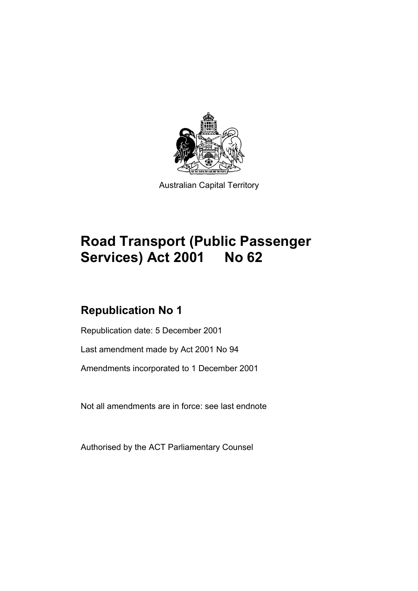

Australian Capital Territory

# **Road Transport (Public Passenger Services) Act 2001 No 62**

# **Republication No 1**

Republication date: 5 December 2001

Last amendment made by Act 2001 No 94

Amendments incorporated to 1 December 2001

Not all amendments are in force: see last endnote

Authorised by the ACT Parliamentary Counsel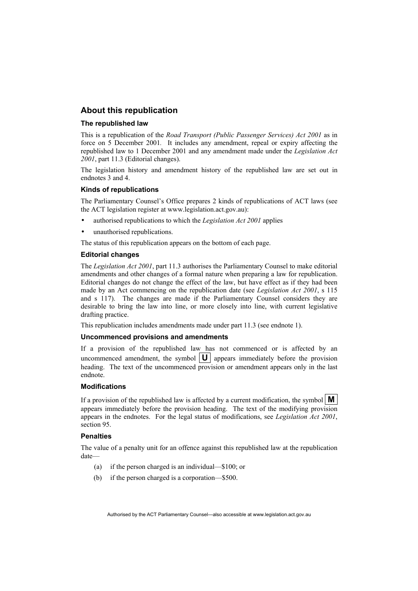# **About this republication**

#### **The republished law**

This is a republication of the *Road Transport (Public Passenger Services) Act 2001* as in force on 5 December 2001*.* It includes any amendment, repeal or expiry affecting the republished law to 1 December 2001 and any amendment made under the *Legislation Act 2001*, part 11.3 (Editorial changes).

The legislation history and amendment history of the republished law are set out in endnotes 3 and 4.

#### **Kinds of republications**

The Parliamentary Counsel's Office prepares 2 kinds of republications of ACT laws (see the ACT legislation register at www.legislation.act.gov.au):

- authorised republications to which the *Legislation Act 2001* applies
- unauthorised republications.

The status of this republication appears on the bottom of each page.

#### **Editorial changes**

The *Legislation Act 2001*, part 11.3 authorises the Parliamentary Counsel to make editorial amendments and other changes of a formal nature when preparing a law for republication. Editorial changes do not change the effect of the law, but have effect as if they had been made by an Act commencing on the republication date (see *Legislation Act 2001*, s 115 and s 117). The changes are made if the Parliamentary Counsel considers they are desirable to bring the law into line, or more closely into line, with current legislative drafting practice.

This republication includes amendments made under part 11.3 (see endnote 1).

#### **Uncommenced provisions and amendments**

If a provision of the republished law has not commenced or is affected by an uncommenced amendment, the symbol  $|\mathbf{U}|$  appears immediately before the provision heading. The text of the uncommenced provision or amendment appears only in the last endnote.

#### **Modifications**

If a provision of the republished law is affected by a current modification, the symbol  $\mathbf{M}$ appears immediately before the provision heading. The text of the modifying provision appears in the endnotes. For the legal status of modifications, see *Legislation Act 2001*, section 95.

#### **Penalties**

The value of a penalty unit for an offence against this republished law at the republication date—

- (a) if the person charged is an individual—\$100; or
- (b) if the person charged is a corporation—\$500.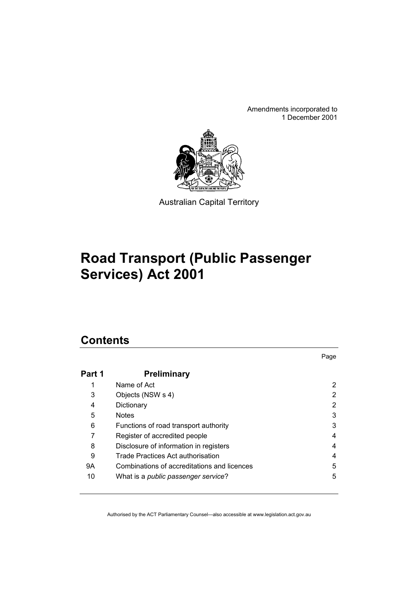Amendments incorporated to 1 December 2001



Australian Capital Territory

# **Road Transport (Public Passenger Services) Act 2001**

# **Contents**

|        |                                             | Page |
|--------|---------------------------------------------|------|
| Part 1 | <b>Preliminary</b>                          |      |
|        | Name of Act                                 | 2    |
| 3      | Objects (NSW s 4)                           | 2    |
| 4      | Dictionary                                  |      |
| 5      | Notes                                       | 3    |
| 6      | Functions of road transport authority       | 3    |
|        | Register of accredited people               | 4    |
| 8      | Disclosure of information in registers      | 4    |
| 9      | Trade Practices Act authorisation           | 4    |
| 9Α     | Combinations of accreditations and licences | 5    |
| 10     | What is a public passenger service?         | 5    |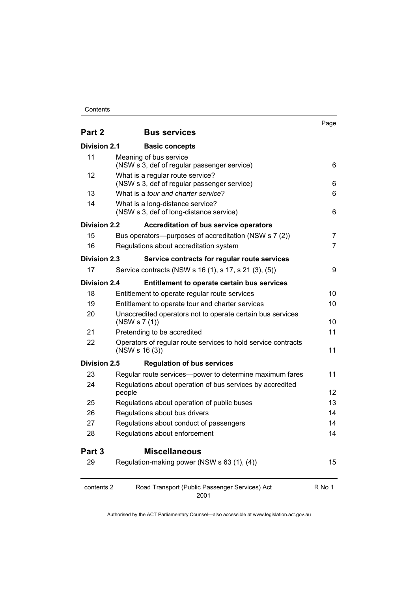### **Contents**

| Part 2              | <b>Bus services</b>                                                             | Page   |
|---------------------|---------------------------------------------------------------------------------|--------|
| <b>Division 2.1</b> | <b>Basic concepts</b>                                                           |        |
| 11                  | Meaning of bus service<br>(NSW s 3, def of regular passenger service)           | 6      |
| 12                  | What is a regular route service?<br>(NSW s 3, def of regular passenger service) | 6      |
| 13                  | What is a tour and charter service?                                             | 6      |
| 14                  | What is a long-distance service?<br>(NSW s 3, def of long-distance service)     | 6      |
| Division 2.2        | <b>Accreditation of bus service operators</b>                                   |        |
| 15                  | Bus operators—purposes of accreditation (NSW s 7 (2))                           | 7      |
| 16                  | Regulations about accreditation system                                          | 7      |
| Division 2.3        | Service contracts for regular route services                                    |        |
| 17                  | Service contracts (NSW s 16 (1), s 17, s 21 (3), (5))                           | 9      |
| <b>Division 2.4</b> | <b>Entitlement to operate certain bus services</b>                              |        |
| 18                  | Entitlement to operate regular route services                                   | 10     |
| 19                  | Entitlement to operate tour and charter services                                | 10     |
| 20                  | Unaccredited operators not to operate certain bus services<br>(NSW S 7 (1))     | 10     |
| 21                  | Pretending to be accredited                                                     | 11     |
| 22                  | Operators of regular route services to hold service contracts<br>(NSW S 16 (3)) | 11     |
| Division 2.5        | <b>Regulation of bus services</b>                                               |        |
| 23                  | Regular route services—power to determine maximum fares                         | 11     |
| 24                  | Regulations about operation of bus services by accredited<br>people             | 12     |
| 25                  | Regulations about operation of public buses                                     | 13     |
| 26                  | Regulations about bus drivers                                                   | 14     |
| 27                  | Regulations about conduct of passengers                                         | 14     |
| 28                  | Regulations about enforcement                                                   | 14     |
| Part 3              | <b>Miscellaneous</b>                                                            |        |
| 29                  | Regulation-making power (NSW s 63 (1), (4))                                     | 15     |
| contents 2          | Road Transport (Public Passenger Services) Act<br>2001                          | R No 1 |

Page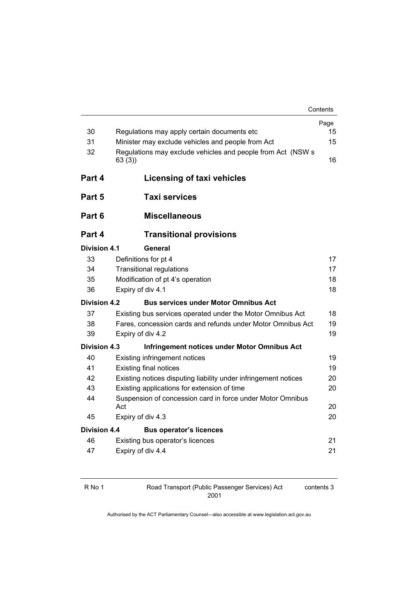| Contents |  |
|----------|--|
|----------|--|

|                     |                                                                      | Page |  |
|---------------------|----------------------------------------------------------------------|------|--|
| 30                  | Regulations may apply certain documents etc                          |      |  |
| 31                  | Minister may exclude vehicles and people from Act                    |      |  |
| 32                  | Regulations may exclude vehicles and people from Act (NSW s<br>63(3) | 16   |  |
| Part 4              | Licensing of taxi vehicles                                           |      |  |
| Part 5              | <b>Taxi services</b>                                                 |      |  |
| Part 6              | <b>Miscellaneous</b>                                                 |      |  |
| Part 4              | <b>Transitional provisions</b>                                       |      |  |
| Division 4.1        | General                                                              |      |  |
| 33                  | Definitions for pt 4                                                 | 17   |  |
| 34                  | <b>Transitional regulations</b>                                      |      |  |
| 35                  | Modification of pt 4's operation                                     |      |  |
| 36                  | Expiry of div 4.1                                                    |      |  |
| <b>Division 4.2</b> | <b>Bus services under Motor Omnibus Act</b>                          |      |  |
| 37                  | Existing bus services operated under the Motor Omnibus Act           | 18   |  |
| 38                  | Fares, concession cards and refunds under Motor Omnibus Act          |      |  |
| 39                  | Expiry of div 4.2                                                    | 19   |  |
| Division 4.3        | Infringement notices under Motor Omnibus Act                         |      |  |
| 40                  | <b>Existing infringement notices</b>                                 | 19   |  |
| 41                  | <b>Existing final notices</b>                                        |      |  |
| 42                  | Existing notices disputing liability under infringement notices      |      |  |
| 43                  | Existing applications for extension of time                          | 20   |  |
| 44                  | Suspension of concession card in force under Motor Omnibus<br>Act    |      |  |
| 45                  | Expiry of div 4.3                                                    | 20   |  |
| <b>Division 4.4</b> | <b>Bus operator's licences</b>                                       |      |  |
| 46                  | Existing bus operator's licences                                     | 21   |  |
| 47                  | Expiry of div 4.4                                                    | 21   |  |
|                     |                                                                      |      |  |

|  | ν |  |
|--|---|--|
|--|---|--|

Road Transport (Public Passenger Services) Act 2001

contents 3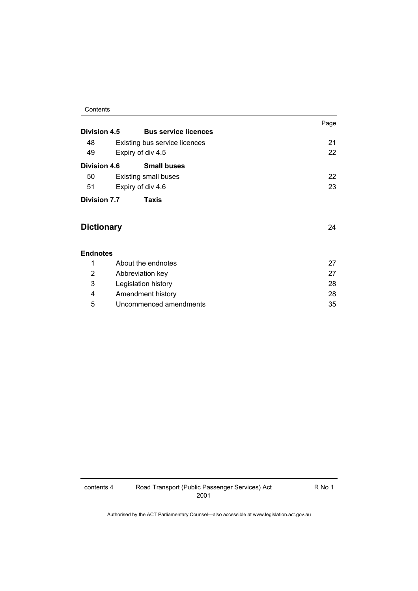### **Contents**

|                       |                               | Page |
|-----------------------|-------------------------------|------|
| Division 4.5          | <b>Bus service licences</b>   |      |
| 48                    | Existing bus service licences | 21   |
| 49                    | Expiry of div 4.5             | 22   |
| <b>Division 4.6</b>   | <b>Small buses</b>            |      |
| 50                    | <b>Existing small buses</b>   | 22   |
| 51                    | Expiry of div 4.6             | 23   |
| Division 7.7<br>Taxis |                               |      |
|                       |                               |      |
| <b>Dictionary</b>     |                               | 24   |
|                       |                               |      |
| <b>Endnotes</b>       |                               |      |
| 1                     | About the endnotes            | 27   |
| $\overline{2}$        | Abbreviation key              | 27   |
| 3                     | Legislation history           | 28   |
| 4                     | Amendment history             | 28   |

5 Uncommenced amendments 35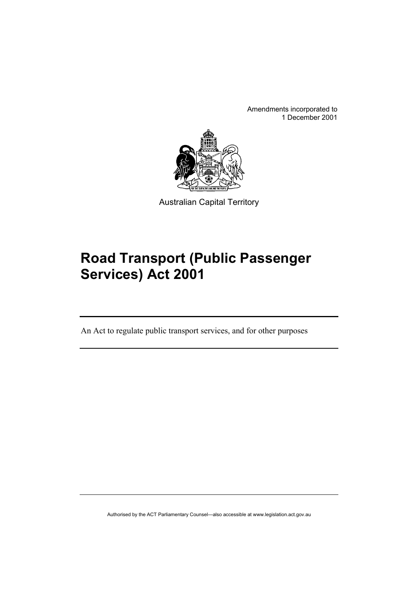Amendments incorporated to 1 December 2001



Australian Capital Territory

# **Road Transport (Public Passenger Services) Act 2001**

An Act to regulate public transport services, and for other purposes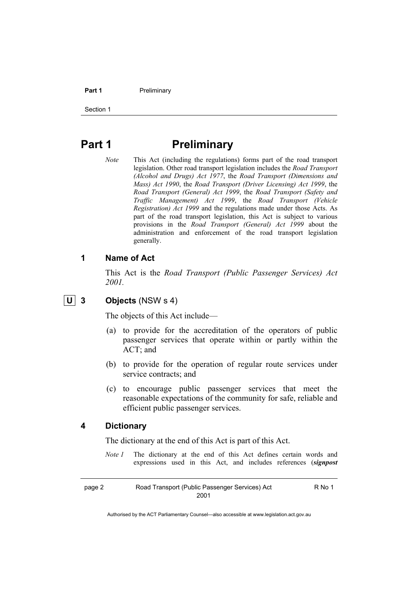#### **Part 1** Preliminary

Section 1

# **Part 1** Preliminary

*Note* This Act (including the regulations) forms part of the road transport legislation. Other road transport legislation includes the *Road Transport (Alcohol and Drugs) Act 1977*, the *Road Transport (Dimensions and Mass) Act 1990*, the *Road Transport (Driver Licensing) Act 1999*, the *Road Transport (General) Act 1999*, the *Road Transport (Safety and Traffic Management) Act 1999*, the *Road Transport (Vehicle Registration) Act 1999* and the regulations made under those Acts. As part of the road transport legislation, this Act is subject to various provisions in the *Road Transport (General) Act 1999* about the administration and enforcement of the road transport legislation generally.

# **1 Name of Act**

This Act is the *Road Transport (Public Passenger Services) Act 2001.* 

# **U 3 Objects** (NSW s 4)

The objects of this Act include—

- (a) to provide for the accreditation of the operators of public passenger services that operate within or partly within the ACT; and
- (b) to provide for the operation of regular route services under service contracts; and
- (c) to encourage public passenger services that meet the reasonable expectations of the community for safe, reliable and efficient public passenger services.

# **4 Dictionary**

The dictionary at the end of this Act is part of this Act.

*Note 1* The dictionary at the end of this Act defines certain words and expressions used in this Act, and includes references (*signpost* 

page 2 Road Transport (Public Passenger Services) Act 2001

R No 1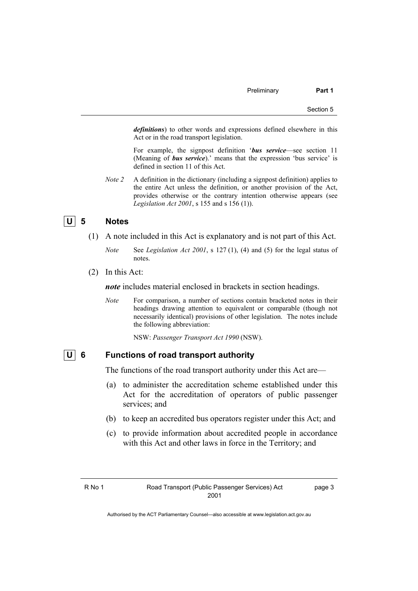*definitions*) to other words and expressions defined elsewhere in this Act or in the road transport legislation.

 For example, the signpost definition '*bus service*—see section 11 (Meaning of *bus service*).' means that the expression 'bus service' is defined in section 11 of this Act.

*Note 2* A definition in the dictionary (including a signpost definition) applies to the entire Act unless the definition, or another provision of the Act, provides otherwise or the contrary intention otherwise appears (see *Legislation Act 2001*, s 155 and s 156 (1)).

# **U 5 Notes**

- (1) A note included in this Act is explanatory and is not part of this Act.
	- *Note* See *Legislation Act 2001*, s 127 (1), (4) and (5) for the legal status of notes.
- (2) In this Act:

*note* includes material enclosed in brackets in section headings.

*Note* For comparison, a number of sections contain bracketed notes in their headings drawing attention to equivalent or comparable (though not necessarily identical) provisions of other legislation. The notes include the following abbreviation:

NSW: *Passenger Transport Act 1990* (NSW).

# **U 6 Functions of road transport authority**

The functions of the road transport authority under this Act are—

- (a) to administer the accreditation scheme established under this Act for the accreditation of operators of public passenger services; and
- (b) to keep an accredited bus operators register under this Act; and
- (c) to provide information about accredited people in accordance with this Act and other laws in force in the Territory; and

page 3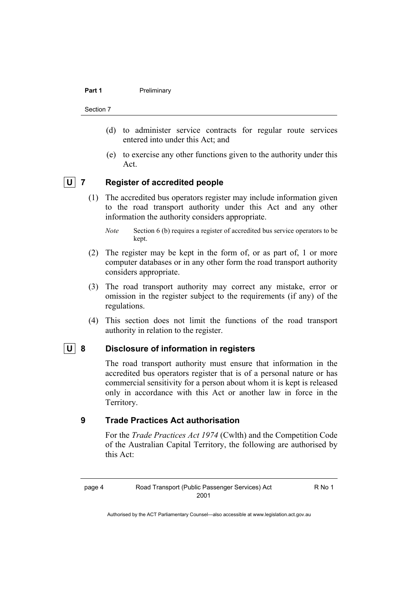#### **Part 1** Preliminary

#### Section 7

- (d) to administer service contracts for regular route services entered into under this Act; and
- (e) to exercise any other functions given to the authority under this Act.

# **U 7 Register of accredited people**

- (1) The accredited bus operators register may include information given to the road transport authority under this Act and any other information the authority considers appropriate.
	- *Note* Section 6 (b) requires a register of accredited bus service operators to be kept.
- (2) The register may be kept in the form of, or as part of, 1 or more computer databases or in any other form the road transport authority considers appropriate.
- (3) The road transport authority may correct any mistake, error or omission in the register subject to the requirements (if any) of the regulations.
- (4) This section does not limit the functions of the road transport authority in relation to the register.

# **U 8 Disclosure of information in registers**

The road transport authority must ensure that information in the accredited bus operators register that is of a personal nature or has commercial sensitivity for a person about whom it is kept is released only in accordance with this Act or another law in force in the Territory.

# **9 Trade Practices Act authorisation**

For the *Trade Practices Act 1974* (Cwlth) and the Competition Code of the Australian Capital Territory, the following are authorised by this Act:

R No 1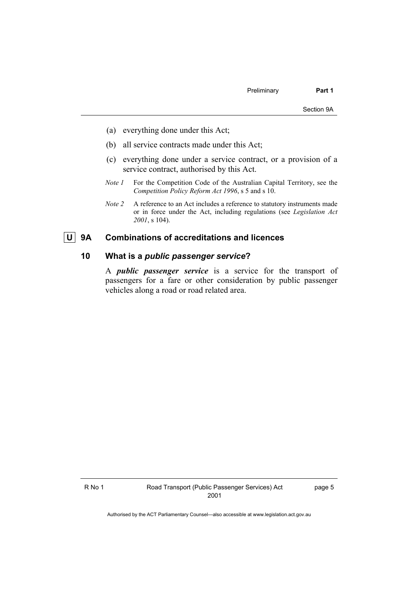- (a) everything done under this Act;
- (b) all service contracts made under this Act;
- (c) everything done under a service contract, or a provision of a service contract, authorised by this Act.
- *Note 1* For the Competition Code of the Australian Capital Territory, see the *Competition Policy Reform Act 1996*, s 5 and s 10.
- *Note 2* A reference to an Act includes a reference to statutory instruments made or in force under the Act, including regulations (see *Legislation Act 2001*, s 104).

# **U 9A Combinations of accreditations and licences**

# **10 What is a** *public passenger service***?**

A *public passenger service* is a service for the transport of passengers for a fare or other consideration by public passenger vehicles along a road or road related area.

page 5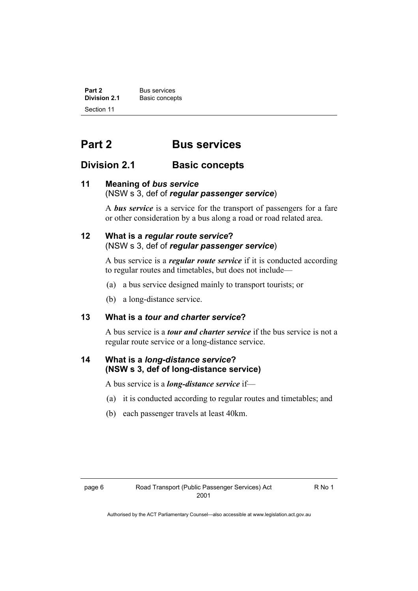**Part 2** Bus services<br> **Division 2.1** Basic concer **Basic concepts** Section 11

# **Part 2 Bus services**

# **Division 2.1** Basic concepts

# **11 Meaning of** *bus service* (NSW s 3, def of *regular passenger service*)

A *bus service* is a service for the transport of passengers for a fare or other consideration by a bus along a road or road related area.

# **12 What is a** *regular route service***?**  (NSW s 3, def of *regular passenger service*)

A bus service is a *regular route service* if it is conducted according to regular routes and timetables, but does not include—

- (a) a bus service designed mainly to transport tourists; or
- (b) a long-distance service.

# **13 What is a** *tour and charter service***?**

A bus service is a *tour and charter service* if the bus service is not a regular route service or a long-distance service.

# **14 What is a** *long-distance service***? (NSW s 3, def of long-distance service)**

A bus service is a *long-distance service* if—

- (a) it is conducted according to regular routes and timetables; and
- (b) each passenger travels at least 40km.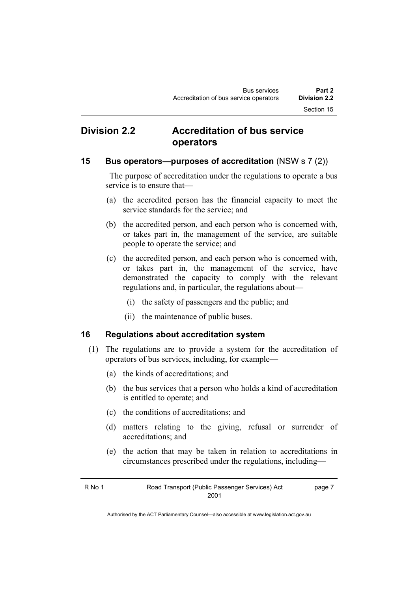# **Division 2.2 Accreditation of bus service operators**

# **15 Bus operators—purposes of accreditation** (NSW s 7 (2))

 The purpose of accreditation under the regulations to operate a bus service is to ensure that—

- (a) the accredited person has the financial capacity to meet the service standards for the service; and
- (b) the accredited person, and each person who is concerned with, or takes part in, the management of the service, are suitable people to operate the service; and
- (c) the accredited person, and each person who is concerned with, or takes part in, the management of the service, have demonstrated the capacity to comply with the relevant regulations and, in particular, the regulations about—
	- (i) the safety of passengers and the public; and
	- (ii) the maintenance of public buses.

# **16 Regulations about accreditation system**

- (1) The regulations are to provide a system for the accreditation of operators of bus services, including, for example—
	- (a) the kinds of accreditations; and
	- (b) the bus services that a person who holds a kind of accreditation is entitled to operate; and
	- (c) the conditions of accreditations; and
	- (d) matters relating to the giving, refusal or surrender of accreditations; and
	- (e) the action that may be taken in relation to accreditations in circumstances prescribed under the regulations, including—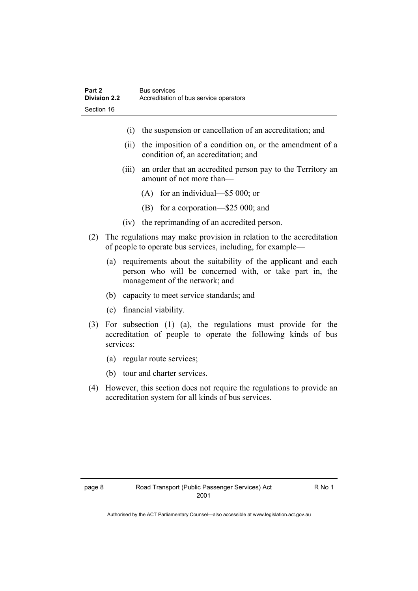- (i) the suspension or cancellation of an accreditation; and
- (ii) the imposition of a condition on, or the amendment of a condition of, an accreditation; and
- (iii) an order that an accredited person pay to the Territory an amount of not more than—
	- (A) for an individual—\$5 000; or
	- (B) for a corporation—\$25 000; and
- (iv) the reprimanding of an accredited person.
- (2) The regulations may make provision in relation to the accreditation of people to operate bus services, including, for example—
	- (a) requirements about the suitability of the applicant and each person who will be concerned with, or take part in, the management of the network; and
	- (b) capacity to meet service standards; and
	- (c) financial viability.
- (3) For subsection (1) (a), the regulations must provide for the accreditation of people to operate the following kinds of bus services:
	- (a) regular route services;
	- (b) tour and charter services.
- (4) However, this section does not require the regulations to provide an accreditation system for all kinds of bus services.

R No 1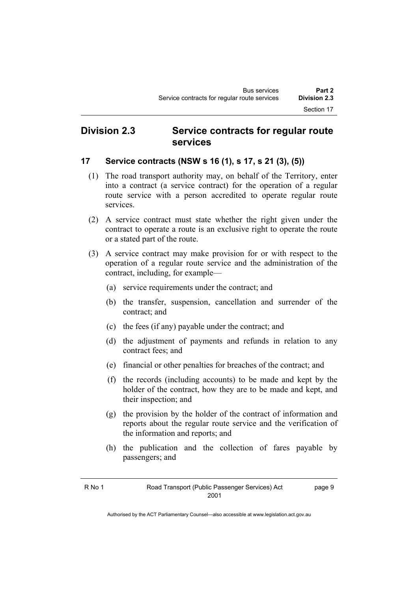# **Division 2.3 Service contracts for regular route services**

# **17 Service contracts (NSW s 16 (1), s 17, s 21 (3), (5))**

- (1) The road transport authority may, on behalf of the Territory, enter into a contract (a service contract) for the operation of a regular route service with a person accredited to operate regular route services.
- (2) A service contract must state whether the right given under the contract to operate a route is an exclusive right to operate the route or a stated part of the route.
- (3) A service contract may make provision for or with respect to the operation of a regular route service and the administration of the contract, including, for example—
	- (a) service requirements under the contract; and
	- (b) the transfer, suspension, cancellation and surrender of the contract; and
	- (c) the fees (if any) payable under the contract; and
	- (d) the adjustment of payments and refunds in relation to any contract fees; and
	- (e) financial or other penalties for breaches of the contract; and
	- (f) the records (including accounts) to be made and kept by the holder of the contract, how they are to be made and kept, and their inspection; and
	- (g) the provision by the holder of the contract of information and reports about the regular route service and the verification of the information and reports; and
	- (h) the publication and the collection of fares payable by passengers; and

page 9

Authorised by the ACT Parliamentary Counsel—also accessible at www.legislation.act.gov.au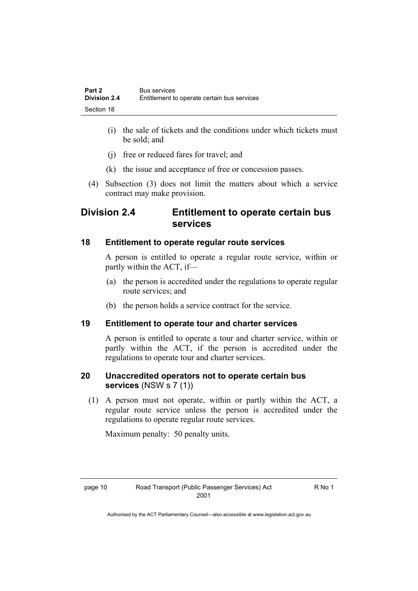- (i) the sale of tickets and the conditions under which tickets must be sold; and
- (j) free or reduced fares for travel; and
- (k) the issue and acceptance of free or concession passes.
- (4) Subsection (3) does not limit the matters about which a service contract may make provision.

# **Division 2.4 Entitlement to operate certain bus services**

# **18 Entitlement to operate regular route services**

A person is entitled to operate a regular route service, within or partly within the ACT, if—

- (a) the person is accredited under the regulations to operate regular route services; and
- (b) the person holds a service contract for the service.

# **19 Entitlement to operate tour and charter services**

A person is entitled to operate a tour and charter service, within or partly within the ACT, if the person is accredited under the regulations to operate tour and charter services.

# **20 Unaccredited operators not to operate certain bus services** (NSW s 7 (1))

 (1) A person must not operate, within or partly within the ACT, a regular route service unless the person is accredited under the regulations to operate regular route services.

Maximum penalty: 50 penalty units.

R No 1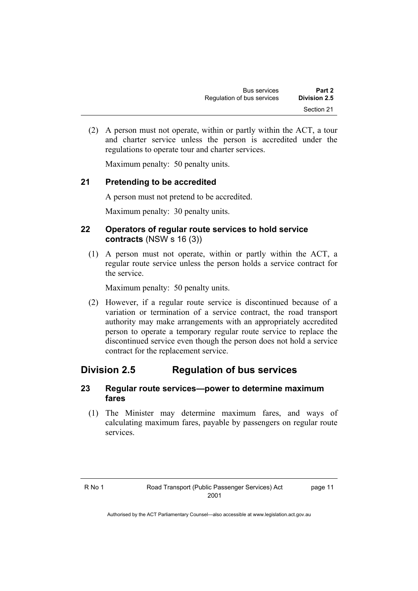(2) A person must not operate, within or partly within the ACT, a tour and charter service unless the person is accredited under the regulations to operate tour and charter services.

Maximum penalty: 50 penalty units.

# **21 Pretending to be accredited**

A person must not pretend to be accredited.

Maximum penalty: 30 penalty units.

# **22 Operators of regular route services to hold service contracts** (NSW s 16 (3))

 (1) A person must not operate, within or partly within the ACT, a regular route service unless the person holds a service contract for the service.

Maximum penalty: 50 penalty units.

 (2) However, if a regular route service is discontinued because of a variation or termination of a service contract, the road transport authority may make arrangements with an appropriately accredited person to operate a temporary regular route service to replace the discontinued service even though the person does not hold a service contract for the replacement service.

# **Division 2.5 Regulation of bus services**

# **23 Regular route services—power to determine maximum fares**

 (1) The Minister may determine maximum fares, and ways of calculating maximum fares, payable by passengers on regular route services.

page 11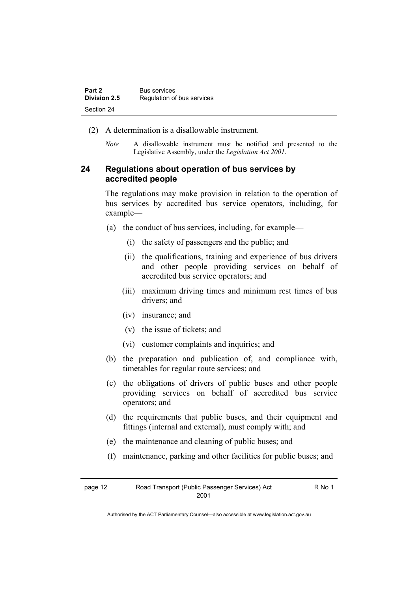| Part 2       | <b>Bus services</b>        |
|--------------|----------------------------|
| Division 2.5 | Regulation of bus services |
| Section 24   |                            |

- (2) A determination is a disallowable instrument.
	- *Note* A disallowable instrument must be notified and presented to the Legislative Assembly, under the *Legislation Act 2001*.

# **24 Regulations about operation of bus services by accredited people**

The regulations may make provision in relation to the operation of bus services by accredited bus service operators, including, for example—

- (a) the conduct of bus services, including, for example—
	- (i) the safety of passengers and the public; and
	- (ii) the qualifications, training and experience of bus drivers and other people providing services on behalf of accredited bus service operators; and
	- (iii) maximum driving times and minimum rest times of bus drivers; and
	- (iv) insurance; and
	- (v) the issue of tickets; and
	- (vi) customer complaints and inquiries; and
- (b) the preparation and publication of, and compliance with, timetables for regular route services; and
- (c) the obligations of drivers of public buses and other people providing services on behalf of accredited bus service operators; and
- (d) the requirements that public buses, and their equipment and fittings (internal and external), must comply with; and
- (e) the maintenance and cleaning of public buses; and
- (f) maintenance, parking and other facilities for public buses; and

R No 1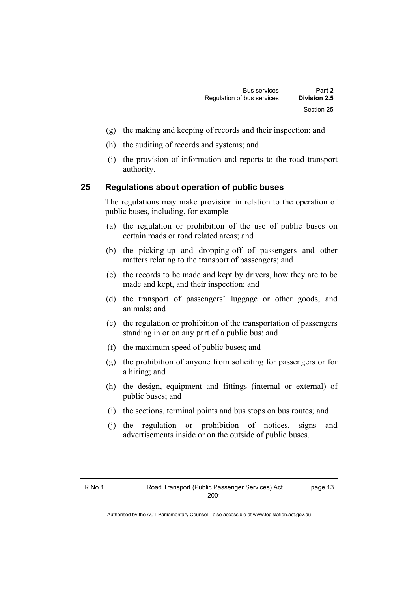- (g) the making and keeping of records and their inspection; and
- (h) the auditing of records and systems; and
- (i) the provision of information and reports to the road transport authority.

# **25 Regulations about operation of public buses**

The regulations may make provision in relation to the operation of public buses, including, for example—

- (a) the regulation or prohibition of the use of public buses on certain roads or road related areas; and
- (b) the picking-up and dropping-off of passengers and other matters relating to the transport of passengers; and
- (c) the records to be made and kept by drivers, how they are to be made and kept, and their inspection; and
- (d) the transport of passengers' luggage or other goods, and animals; and
- (e) the regulation or prohibition of the transportation of passengers standing in or on any part of a public bus; and
- (f) the maximum speed of public buses; and
- (g) the prohibition of anyone from soliciting for passengers or for a hiring; and
- (h) the design, equipment and fittings (internal or external) of public buses; and
- (i) the sections, terminal points and bus stops on bus routes; and
- (j) the regulation or prohibition of notices, signs and advertisements inside or on the outside of public buses.

page 13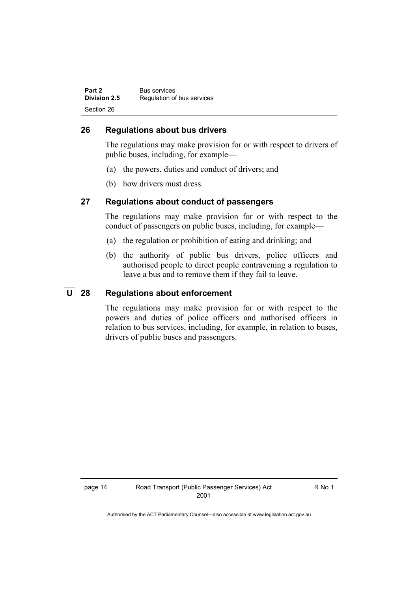| Part 2       | <b>Bus services</b>        |
|--------------|----------------------------|
| Division 2.5 | Regulation of bus services |
| Section 26   |                            |

# **26 Regulations about bus drivers**

The regulations may make provision for or with respect to drivers of public buses, including, for example—

- (a) the powers, duties and conduct of drivers; and
- (b) how drivers must dress.

# **27 Regulations about conduct of passengers**

The regulations may make provision for or with respect to the conduct of passengers on public buses, including, for example—

- (a) the regulation or prohibition of eating and drinking; and
- (b) the authority of public bus drivers, police officers and authorised people to direct people contravening a regulation to leave a bus and to remove them if they fail to leave.

# **U 28 Regulations about enforcement**

The regulations may make provision for or with respect to the powers and duties of police officers and authorised officers in relation to bus services, including, for example, in relation to buses, drivers of public buses and passengers.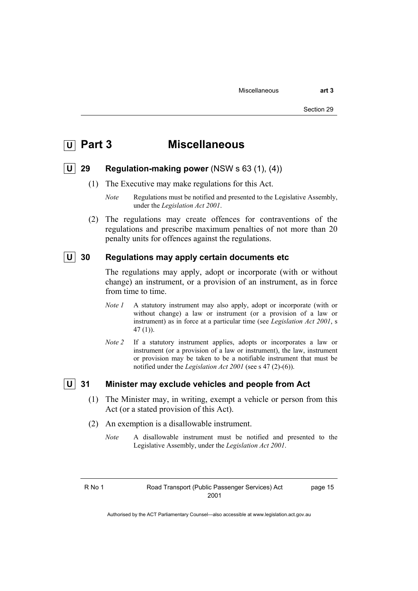# **Part 3** Miscellaneous

### **U 29 Regulation-making power** (NSW s 63 (1), (4))

(1) The Executive may make regulations for this Act.

*Note* Regulations must be notified and presented to the Legislative Assembly, under the *Legislation Act 2001*.

 (2) The regulations may create offences for contraventions of the regulations and prescribe maximum penalties of not more than 20 penalty units for offences against the regulations.

# **U** 30 Regulations may apply certain documents etc

The regulations may apply, adopt or incorporate (with or without change) an instrument, or a provision of an instrument, as in force from time to time.

- *Note I* A statutory instrument may also apply, adopt or incorporate (with or without change) a law or instrument (or a provision of a law or instrument) as in force at a particular time (see *Legislation Act 2001*, s 47 (1)).
- *Note 2* If a statutory instrument applies, adopts or incorporates a law or instrument (or a provision of a law or instrument), the law, instrument or provision may be taken to be a notifiable instrument that must be notified under the *Legislation Act 2001* (see s 47 (2)-(6)).

# **U 31 Minister may exclude vehicles and people from Act**

- (1) The Minister may, in writing, exempt a vehicle or person from this Act (or a stated provision of this Act).
- (2) An exemption is a disallowable instrument.
	- *Note* A disallowable instrument must be notified and presented to the Legislative Assembly, under the *Legislation Act 2001*.

page 15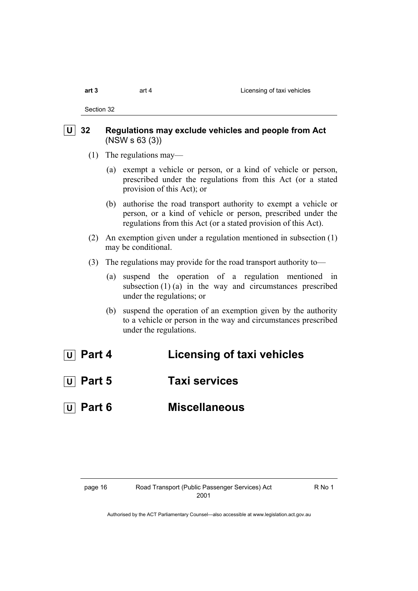| 3 |  |  |  |
|---|--|--|--|
|   |  |  |  |

Section 32

# **U 32 Regulations may exclude vehicles and people from Act**  (NSW s 63 (3))

- (1) The regulations may—
	- (a) exempt a vehicle or person, or a kind of vehicle or person, prescribed under the regulations from this Act (or a stated provision of this Act); or
	- (b) authorise the road transport authority to exempt a vehicle or person, or a kind of vehicle or person, prescribed under the regulations from this Act (or a stated provision of this Act).
- (2) An exemption given under a regulation mentioned in subsection (1) may be conditional.
- (3) The regulations may provide for the road transport authority to—
	- (a) suspend the operation of a regulation mentioned in subsection  $(1)$  (a) in the way and circumstances prescribed under the regulations; or
	- (b) suspend the operation of an exemption given by the authority to a vehicle or person in the way and circumstances prescribed under the regulations.

# *<u>U</u>* Part 4 **Licensing of taxi vehicles**

- **U Part 5 Taxi services**
- **U Part 6 Miscellaneous**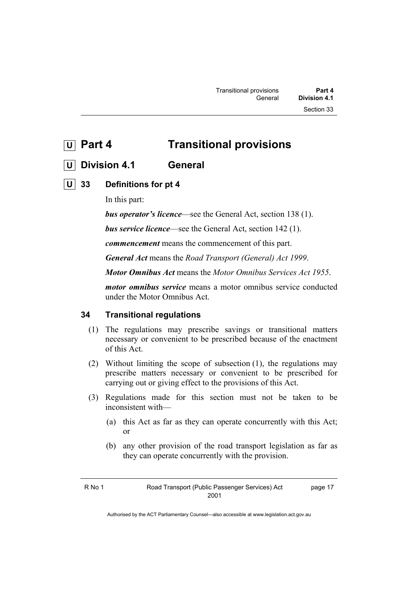**U Part 4 Transitional provisions** 

# **U Division 4.1 General**

# **U** 33 Definitions for pt 4

In this part:

*bus operator's licence*—see the General Act, section 138 (1).

*bus service licence*—see the General Act, section 142 (1).

*commencement* means the commencement of this part.

*General Act* means the *Road Transport (General) Act 1999*.

*Motor Omnibus Act* means the *Motor Omnibus Services Act 1955*.

*motor omnibus service* means a motor omnibus service conducted under the Motor Omnibus Act.

# **34 Transitional regulations**

- (1) The regulations may prescribe savings or transitional matters necessary or convenient to be prescribed because of the enactment of this Act.
- (2) Without limiting the scope of subsection (1), the regulations may prescribe matters necessary or convenient to be prescribed for carrying out or giving effect to the provisions of this Act.
- (3) Regulations made for this section must not be taken to be inconsistent with—
	- (a) this Act as far as they can operate concurrently with this Act; or
	- (b) any other provision of the road transport legislation as far as they can operate concurrently with the provision.

page 17

Authorised by the ACT Parliamentary Counsel—also accessible at www.legislation.act.gov.au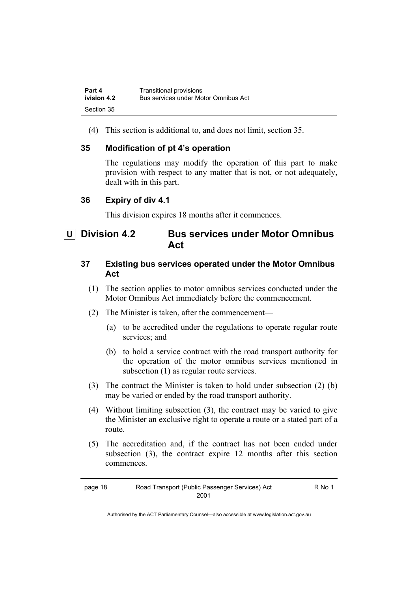| Part 4      | <b>Transitional provisions</b>       |
|-------------|--------------------------------------|
| ivision 4.2 | Bus services under Motor Omnibus Act |
| Section 35  |                                      |

(4) This section is additional to, and does not limit, section 35.

# **35 Modification of pt 4's operation**

The regulations may modify the operation of this part to make provision with respect to any matter that is not, or not adequately, dealt with in this part.

# **36 Expiry of div 4.1**

This division expires 18 months after it commences.

# **U Division 4.2 Bus services under Motor Omnibus Act**

# **37 Existing bus services operated under the Motor Omnibus Act**

- (1) The section applies to motor omnibus services conducted under the Motor Omnibus Act immediately before the commencement.
- (2) The Minister is taken, after the commencement—
	- (a) to be accredited under the regulations to operate regular route services; and
	- (b) to hold a service contract with the road transport authority for the operation of the motor omnibus services mentioned in subsection (1) as regular route services.
- (3) The contract the Minister is taken to hold under subsection (2) (b) may be varied or ended by the road transport authority.
- (4) Without limiting subsection (3), the contract may be varied to give the Minister an exclusive right to operate a route or a stated part of a route.
- (5) The accreditation and, if the contract has not been ended under subsection (3), the contract expire 12 months after this section commences.

| page 18 | Road Transport (Public Passenger Services) Act | R No 1 |
|---------|------------------------------------------------|--------|
|         | 2001                                           |        |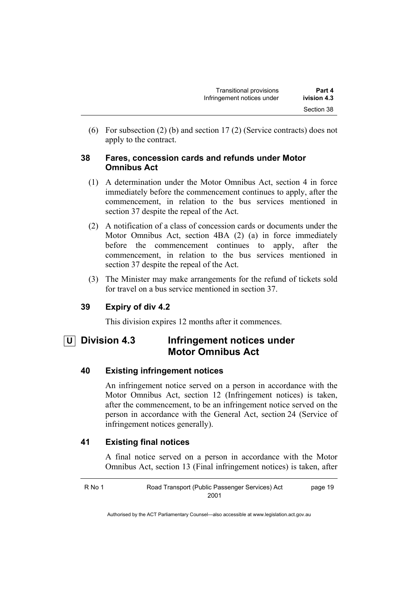(6) For subsection (2) (b) and section 17 (2) (Service contracts) does not apply to the contract.

# **38 Fares, concession cards and refunds under Motor Omnibus Act**

- (1) A determination under the Motor Omnibus Act, section 4 in force immediately before the commencement continues to apply, after the commencement, in relation to the bus services mentioned in section 37 despite the repeal of the Act.
- (2) A notification of a class of concession cards or documents under the Motor Omnibus Act, section 4BA (2) (a) in force immediately before the commencement continues to apply, after the commencement, in relation to the bus services mentioned in section 37 despite the repeal of the Act.
- (3) The Minister may make arrangements for the refund of tickets sold for travel on a bus service mentioned in section 37.

# **39 Expiry of div 4.2**

This division expires 12 months after it commences.

# **U** Division 4.3 Infringement notices under **Motor Omnibus Act**

# **40 Existing infringement notices**

An infringement notice served on a person in accordance with the Motor Omnibus Act, section 12 (Infringement notices) is taken, after the commencement, to be an infringement notice served on the person in accordance with the General Act, section 24 (Service of infringement notices generally).

# **41 Existing final notices**

A final notice served on a person in accordance with the Motor Omnibus Act, section 13 (Final infringement notices) is taken, after

R No 1 Road Transport (Public Passenger Services) Act 2001 page 19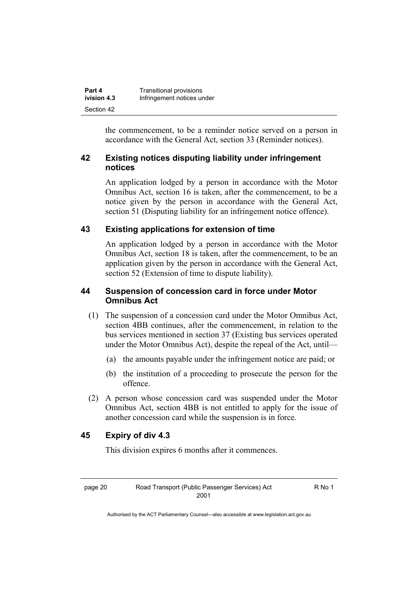| Part 4      | Transitional provisions    |
|-------------|----------------------------|
| ivision 4.3 | Infringement notices under |
| Section 42  |                            |

the commencement, to be a reminder notice served on a person in accordance with the General Act, section 33 (Reminder notices).

# **42 Existing notices disputing liability under infringement notices**

An application lodged by a person in accordance with the Motor Omnibus Act, section 16 is taken, after the commencement, to be a notice given by the person in accordance with the General Act, section 51 (Disputing liability for an infringement notice offence).

# **43 Existing applications for extension of time**

An application lodged by a person in accordance with the Motor Omnibus Act, section 18 is taken, after the commencement, to be an application given by the person in accordance with the General Act, section 52 (Extension of time to dispute liability).

# **44 Suspension of concession card in force under Motor Omnibus Act**

- (1) The suspension of a concession card under the Motor Omnibus Act, section 4BB continues, after the commencement, in relation to the bus services mentioned in section 37 (Existing bus services operated under the Motor Omnibus Act), despite the repeal of the Act, until—
	- (a) the amounts payable under the infringement notice are paid; or
	- (b) the institution of a proceeding to prosecute the person for the offence.
- (2) A person whose concession card was suspended under the Motor Omnibus Act, section 4BB is not entitled to apply for the issue of another concession card while the suspension is in force.

# **45 Expiry of div 4.3**

This division expires 6 months after it commences.

R No 1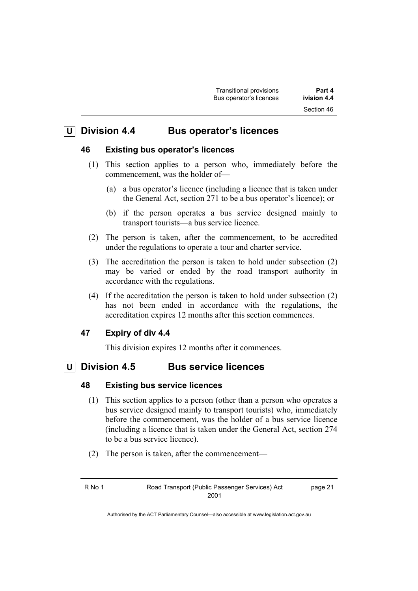# **U Division 4.4 Bus operator's licences**

# **46 Existing bus operator's licences**

- (1) This section applies to a person who, immediately before the commencement, was the holder of—
	- (a) a bus operator's licence (including a licence that is taken under the General Act, section 271 to be a bus operator's licence); or
	- (b) if the person operates a bus service designed mainly to transport tourists—a bus service licence.
- (2) The person is taken, after the commencement, to be accredited under the regulations to operate a tour and charter service.
- (3) The accreditation the person is taken to hold under subsection (2) may be varied or ended by the road transport authority in accordance with the regulations.
- (4) If the accreditation the person is taken to hold under subsection (2) has not been ended in accordance with the regulations, the accreditation expires 12 months after this section commences.

# **47 Expiry of div 4.4**

This division expires 12 months after it commences.

# **U Division 4.5 Bus service licences**

# **48 Existing bus service licences**

- (1) This section applies to a person (other than a person who operates a bus service designed mainly to transport tourists) who, immediately before the commencement, was the holder of a bus service licence (including a licence that is taken under the General Act, section 274 to be a bus service licence).
- (2) The person is taken, after the commencement—

page 21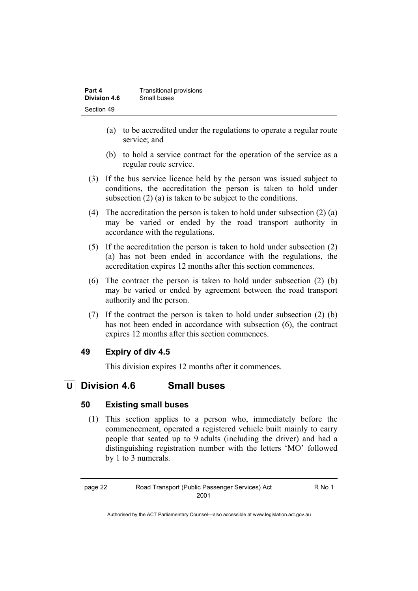| Part 4       | Transitional provisions |
|--------------|-------------------------|
| Division 4.6 | Small buses             |
| Section 49   |                         |

- (a) to be accredited under the regulations to operate a regular route service; and
- (b) to hold a service contract for the operation of the service as a regular route service.
- (3) If the bus service licence held by the person was issued subject to conditions, the accreditation the person is taken to hold under subsection (2) (a) is taken to be subject to the conditions.
- (4) The accreditation the person is taken to hold under subsection  $(2)$  (a) may be varied or ended by the road transport authority in accordance with the regulations.
- (5) If the accreditation the person is taken to hold under subsection (2) (a) has not been ended in accordance with the regulations, the accreditation expires 12 months after this section commences.
- (6) The contract the person is taken to hold under subsection (2) (b) may be varied or ended by agreement between the road transport authority and the person.
- (7) If the contract the person is taken to hold under subsection (2) (b) has not been ended in accordance with subsection (6), the contract expires 12 months after this section commences.

# **49 Expiry of div 4.5**

This division expires 12 months after it commences.

# **U Division 4.6 Small buses**

# **50 Existing small buses**

 (1) This section applies to a person who, immediately before the commencement, operated a registered vehicle built mainly to carry people that seated up to 9 adults (including the driver) and had a distinguishing registration number with the letters 'MO' followed by 1 to 3 numerals.

R No 1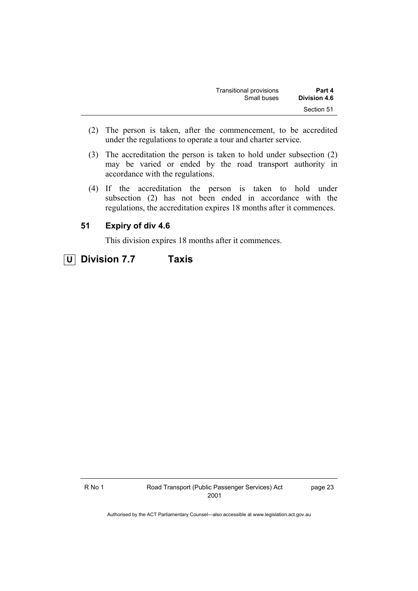| Part 4       | Transitional provisions |  |
|--------------|-------------------------|--|
| Division 4.6 | Small buses             |  |
| Section 51   |                         |  |

- (2) The person is taken, after the commencement, to be accredited under the regulations to operate a tour and charter service.
- (3) The accreditation the person is taken to hold under subsection (2) may be varied or ended by the road transport authority in accordance with the regulations.
- (4) If the accreditation the person is taken to hold under subsection (2) has not been ended in accordance with the regulations, the accreditation expires 18 months after it commences.

# **51 Expiry of div 4.6**

This division expires 18 months after it commences.

 **U Division 7.7 Taxis** 

page 23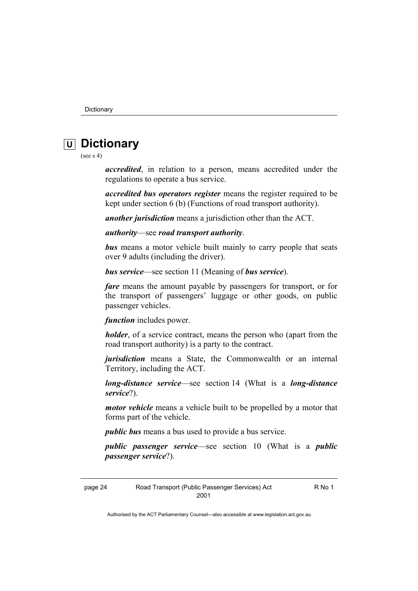# **U Dictionary**

(see s 4)

*accredited*, in relation to a person, means accredited under the regulations to operate a bus service.

*accredited bus operators register* means the register required to be kept under section 6 (b) (Functions of road transport authority).

*another jurisdiction* means a jurisdiction other than the ACT.

*authority*—see *road transport authority*.

*bus* means a motor vehicle built mainly to carry people that seats over 9 adults (including the driver).

*bus service*—see section 11 (Meaning of *bus service*).

*fare* means the amount payable by passengers for transport, or for the transport of passengers' luggage or other goods, on public passenger vehicles.

*function* includes power.

*holder*, of a service contract, means the person who (apart from the road transport authority) is a party to the contract.

*jurisdiction* means a State, the Commonwealth or an internal Territory, including the ACT.

*long-distance service*—see section 14 (What is a *long-distance service*?).

*motor vehicle* means a vehicle built to be propelled by a motor that forms part of the vehicle.

*public bus* means a bus used to provide a bus service.

*public passenger service*—see section 10 (What is a *public passenger service*?).

page 24 Road Transport (Public Passenger Services) Act 2001

R No 1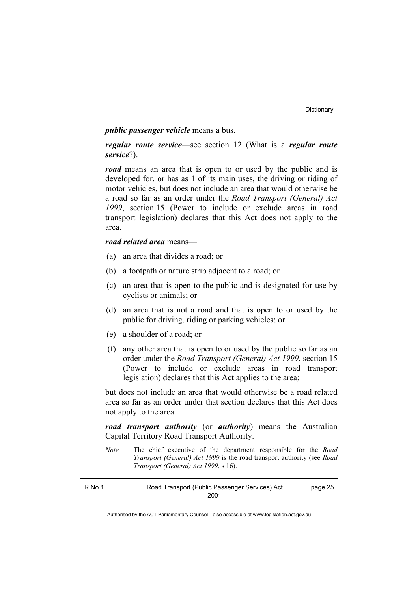### *public passenger vehicle* means a bus.

*regular route service*—see section 12 (What is a *regular route service*?).

*road* means an area that is open to or used by the public and is developed for, or has as 1 of its main uses, the driving or riding of motor vehicles, but does not include an area that would otherwise be a road so far as an order under the *Road Transport (General) Act 1999*, section 15 (Power to include or exclude areas in road transport legislation) declares that this Act does not apply to the area.

# *road related area* means—

- (a) an area that divides a road; or
- (b) a footpath or nature strip adjacent to a road; or
- (c) an area that is open to the public and is designated for use by cyclists or animals; or
- (d) an area that is not a road and that is open to or used by the public for driving, riding or parking vehicles; or
- (e) a shoulder of a road; or
- (f) any other area that is open to or used by the public so far as an order under the *Road Transport (General) Act 1999*, section 15 (Power to include or exclude areas in road transport legislation) declares that this Act applies to the area;

but does not include an area that would otherwise be a road related area so far as an order under that section declares that this Act does not apply to the area.

*road transport authority* (or *authority*) means the Australian Capital Territory Road Transport Authority.

*Note* The chief executive of the department responsible for the *Road Transport (General) Act 1999* is the road transport authority (see *Road Transport (General) Act 1999*, s 16).

| Road Transport (Public Passenger Services) Act<br>R No 1 |      | page 25 |
|----------------------------------------------------------|------|---------|
|                                                          | 2001 |         |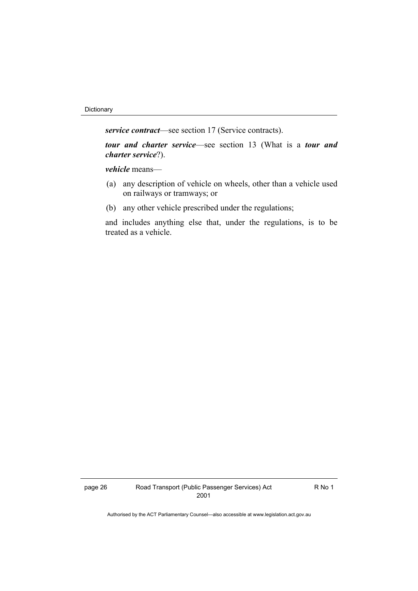*service contract*—see section 17 (Service contracts).

*tour and charter service*—see section 13 (What is a *tour and charter service*?).

*vehicle* means—

- (a) any description of vehicle on wheels, other than a vehicle used on railways or tramways; or
- (b) any other vehicle prescribed under the regulations;

and includes anything else that, under the regulations, is to be treated as a vehicle.

R No 1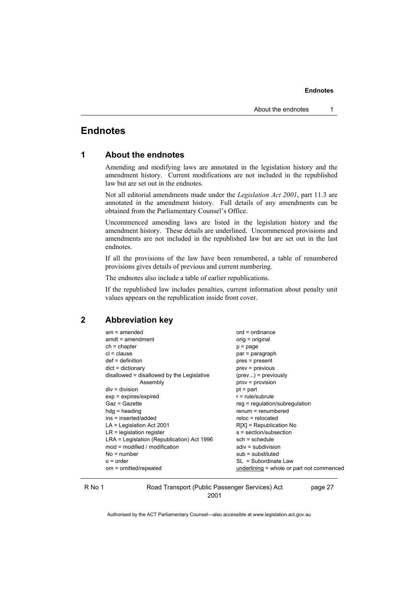# **Endnotes**

### **1 About the endnotes**

Amending and modifying laws are annotated in the legislation history and the amendment history. Current modifications are not included in the republished law but are set out in the endnotes.

Not all editorial amendments made under the *Legislation Act 2001*, part 11.3 are annotated in the amendment history. Full details of any amendments can be obtained from the Parliamentary Counsel's Office.

Uncommenced amending laws are listed in the legislation history and the amendment history. These details are underlined. Uncommenced provisions and amendments are not included in the republished law but are set out in the last endnotes.

If all the provisions of the law have been renumbered, a table of renumbered provisions gives details of previous and current numbering.

The endnotes also include a table of earlier republications.

If the republished law includes penalties, current information about penalty unit values appears on the republication inside front cover.

### **2 Abbreviation key**

| $am = amended$                             | $ord = ordinance$                         |
|--------------------------------------------|-------------------------------------------|
| $amdt = amendment$                         | $orig = original$                         |
| $ch = chapter$                             | $p = page$                                |
| $cl = clause$                              | par = paragraph                           |
| $def = definition$                         | pres = present                            |
| $dict = dictionary$                        | $prev = previous$                         |
| disallowed = disallowed by the Legislative | $(\text{prev})$ = previously              |
| Assembly                                   | $prov = provision$                        |
| $div = division$                           | $pt = part$                               |
| $exp = expires/expired$                    | $r = rule/subrule$                        |
| Gaz = Gazette                              | $reg = regulation/subregulation$          |
| $hda =$ heading                            | $remum = renumbered$                      |
| ins = inserted/added                       | reloc = relocated                         |
| $LA =$ Legislation Act 2001                | $R[X]$ = Republication No                 |
| $LR =$ legislation register                | s = section/subsection                    |
| LRA = Legislation (Republication) Act 1996 | $sch = schedule$                          |
| $mod = modified / modified$                | $sdiv = subdivision$                      |
| $No = number$                              | $sub =$ substituted                       |
| $o = order$                                | SL = Subordinate Law                      |
| om = omitted/repealed                      | underlining = whole or part not commenced |

R No 1 Road Transport (Public Passenger Services) Act 2001

page 27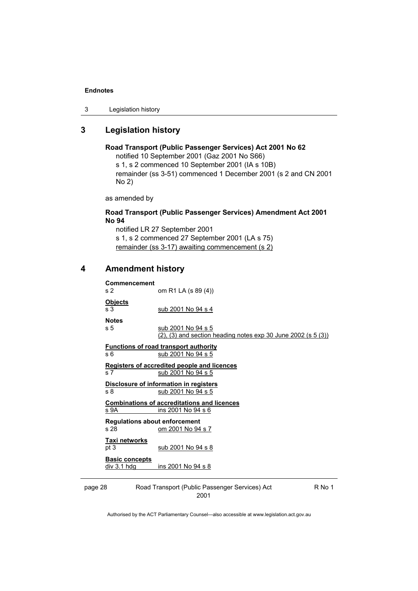```
3 Legislation history
```
# **3 Legislation history**

```
Road Transport (Public Passenger Services) Act 2001 No 62 
notified 10 September 2001 (Gaz 2001 No S66) 
s 1, s 2 commenced 10 September 2001 (IA s 10B) 
remainder (ss 3-51) commenced 1 December 2001 (s 2 and CN 2001
```
No 2)

as amended by

### **Road Transport (Public Passenger Services) Amendment Act 2001 No 94**

notified LR 27 September 2001 s 1, s 2 commenced 27 September 2001 (LA s 75) remainder (ss 3-17) awaiting commencement (s 2)

# **4 Amendment history**

| Commencement<br>s <sub>2</sub>       | om R1 LA (s 89 (4))                                                                         |
|--------------------------------------|---------------------------------------------------------------------------------------------|
| <b>Objects</b><br>s <sub>3</sub>     | sub 2001 No 94 s 4                                                                          |
| <b>Notes</b>                         |                                                                                             |
| s 5                                  | sub 2001 No 94 s 5<br>$(2)$ , $(3)$ and section heading notes exp 30 June 2002 (s 5 $(3)$ ) |
|                                      | <b>Functions of road transport authority</b>                                                |
| s 6                                  | sub 2001 No 94 s 5                                                                          |
|                                      | <b>Registers of accredited people and licences</b>                                          |
| s <sub>7</sub>                       | sub 2001 No 94 s 5                                                                          |
|                                      | Disclosure of information in registers                                                      |
| s 8                                  | sub 2001 No 94 s 5                                                                          |
|                                      | <b>Combinations of accreditations and licences</b>                                          |
| <u>s 9A</u>                          | ins 2001 No 94 s 6                                                                          |
| <b>Regulations about enforcement</b> |                                                                                             |
| s 28                                 | om 2001 No 94 s 7                                                                           |
| Taxi networks                        |                                                                                             |
| pt 3                                 | sub 2001 No 94 s 8                                                                          |
| <b>Basic concepts</b>                |                                                                                             |
| div 3.1 hdg                          | ins 2001 No 94 s 8                                                                          |
|                                      |                                                                                             |

page 28 Road Transport (Public Passenger Services) Act 2001

R No 1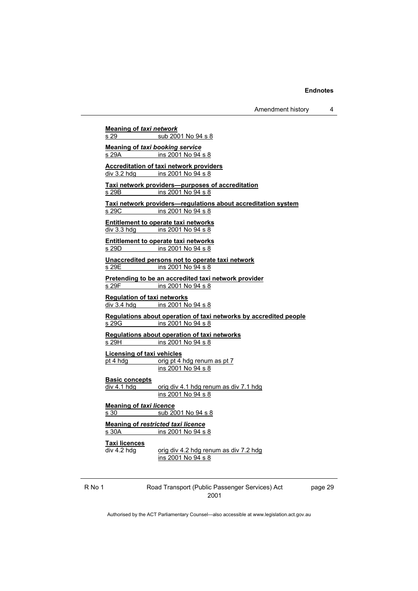Amendment history 4

**Meaning of** *taxi network* s 29 sub 2001 No 94 s 8 **Meaning of** *taxi booking service* s 29A ins 2001 No 94 s 8 **Accreditation of taxi network providers** div 3.2 hdg ins 2001 No 94 s 8 **Taxi network providers—purposes of accreditation** s 29B ins 2001 No 94 s 8 **Taxi network providers—regulations about accreditation system** ins 2001 No 94 s 8 **Entitlement to operate taxi networks** div 3.3 hdg ins 2001 No 94 s 8 **Entitlement to operate taxi networks** s 29D ins 2001 No 94 s 8 **Unaccredited persons not to operate taxi network** s 29E ins 2001 No 94 s 8 **Pretending to be an accredited taxi network provider**<br> $\frac{1}{5}$  29F ins 2001 No 94 s 8 ins 2001 No 94 s 8 **Regulation of taxi networks** div 3.4 hdg ins 2001 No 94 s 8 **Regulations about operation of taxi networks by accredited people** s 29G ins 2001 No 94 s 8 **Regulations about operation of taxi networks** s 29H ins 2001 No 94 s 8 **Licensing of taxi vehicles** pt 4 hdg orig pt 4 hdg renum as pt 7 ins 2001 No 94 s 8 **Basic concepts**<br>div 4.1 hdg orig div 4.1 hdg renum as div 7.1 hdg ins 2001 No 94 s 8 **Meaning of** *taxi licence* s 30 sub 2001 No 94 s 8 **Meaning of** *restricted taxi licence* s 30A ins 2001 No 94 s 8 **Taxi licences**  $\overline{div 4.2}$  hdg  $\overline{div 4.2}$  hdg renum as div 7.2 hdg ins 2001 No 94 s 8

R No 1 Road Transport (Public Passenger Services) Act 2001

page 29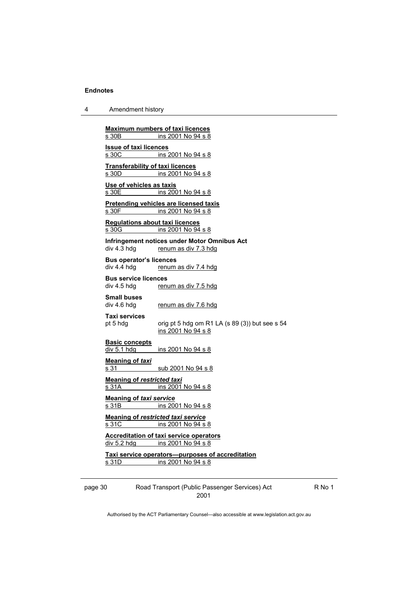| Amendment history<br>4 |  |
|------------------------|--|
|------------------------|--|

**Maximum numbers of taxi licences** s 30B ins 2001 No 94 s 8 **Issue of taxi licences** s 30C ins 2001 No 94 s 8 **Transferability of taxi licences** s 30D ins 2001 No 94 s 8 **Use of vehicles as taxis** s 30E ins 2001 No 94 s 8 **Pretending vehicles are licensed taxis**<br>s 30F ins 2001 No 94 s 8 ins 2001 No 94 s 8 **Regulations about taxi licences** s 30G ins 2001 No 94 s 8 **Infringement notices under Motor Omnibus Act**  renum as div 7.3 hdg **Bus operator's licences**  div 4.4 hdg renum as div 7.4 hdg **Bus service licences**  div 4.5 hdg renum as div 7.5 hdg **Small buses**  renum as div 7.6 hdg **Taxi services**  pt 5 hdg orig pt 5 hdg om R1 LA (s 89 (3)) but see s 54 ins 2001 No 94 s 8 **Basic concepts**<br>div 5.1 hdg ins 2001 No 94 s 8 **Meaning of** *taxi* s 31 sub 2001 No 94 s 8 **Meaning of** *restricted taxi* s 31A ins 2001 No 94 s 8 **Meaning of** *taxi service* s 31B ins 2001 No 94 s 8 **Meaning of** *restricted taxi service* s 31C ins 2001 No 94 s 8 **Accreditation of taxi service operators** div 5.2 hdg ins 2001 No 94 s 8 **Taxi service operators—purposes of accreditation** s 31D ins 2001 No 94 s 8

page 30 Road Transport (Public Passenger Services) Act 2001

R No 1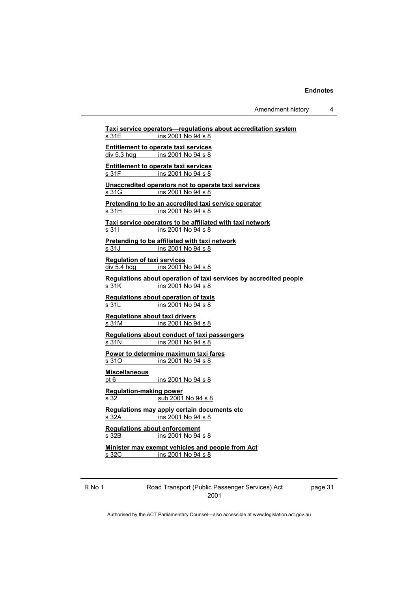Amendment history 4

R No 1 Road Transport (Public Passenger Services) Act 2001 **Taxi service operators—regulations about accreditation system** s 31E ins 2001 No 94 s 8 **Entitlement to operate taxi services** div 5.3 hdg ins 2001 No 94 s 8 **Entitlement to operate taxi services** s 31F ins 2001 No 94 s 8 **Unaccredited operators not to operate taxi services** s 31G ins 2001 No 94 s 8 **Pretending to be an accredited taxi service operator** ins 2001 No 94 s 8 **Taxi service operators to be affiliated with taxi network** s 31I ins 2001 No 94 s 8 **Pretending to be affiliated with taxi network** s 31J ins 2001 No 94 s 8 **Regulation of taxi services** div 5.4 hdg ins 2001 No 94 s 8 **Regulations about operation of taxi services by accredited people** s 31K ins 2001 No 94 s 8 **Regulations about operation of taxis** s 31L ins 2001 No 94 s 8 **Regulations about taxi drivers** s 31M ins 2001 No 94 s 8 **Regulations about conduct of taxi passengers** s 31N ins 2001 No 94 s 8 **Power to determine maximum taxi fares** s 310 ins 2001 No 94 s 8 **Miscellaneous** pt 6 ins 2001 No 94 s 8 **Regulation-making power** s 32 sub 2001 No 94 s 8 **Regulations may apply certain documents etc** s 32A ins 2001 No 94 s 8 **Regulations about enforcement** s 32B ins 2001 No 94 s 8 **Minister may exempt vehicles and people from Act** s 32C ins 2001 No 94 s 8

page 31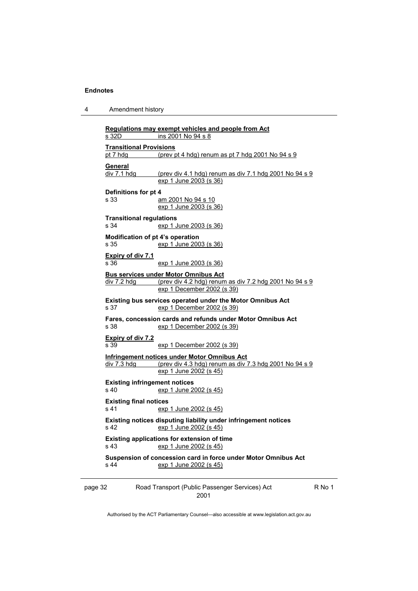4 Amendment history

| s 32D                            | ins 2001 No 94 s 8                                                                                            |        |
|----------------------------------|---------------------------------------------------------------------------------------------------------------|--------|
| <b>Transitional Provisions</b>   |                                                                                                               |        |
| pt 7 hdg                         | (prev pt 4 hdg) renum as pt 7 hdg 2001 No 94 s 9                                                              |        |
| General                          |                                                                                                               |        |
| div 7.1 hdg                      | (prev div 4.1 hdg) renum as div 7.1 hdg 2001 No 94 s 9                                                        |        |
|                                  | exp 1 June 2003 (s 36)                                                                                        |        |
| Definitions for pt 4             |                                                                                                               |        |
| s 33                             | am 2001 No 94 s 10                                                                                            |        |
|                                  | exp 1 June 2003 (s 36)                                                                                        |        |
| <b>Transitional regulations</b>  |                                                                                                               |        |
| s 34                             | exp 1 June 2003 (s 36)                                                                                        |        |
|                                  | Modification of pt 4's operation                                                                              |        |
| s 35                             | exp 1 June 2003 (s 36)                                                                                        |        |
| <b>Expiry of div 7.1</b>         |                                                                                                               |        |
| s 36                             | exp 1 June 2003 (s 36)                                                                                        |        |
|                                  | <b>Bus services under Motor Omnibus Act</b>                                                                   |        |
| div 7.2 hdg                      | (prev div 4.2 hdg) renum as div 7.2 hdg 2001 No 94 s 9                                                        |        |
|                                  | exp 1 December 2002 (s 39)                                                                                    |        |
|                                  | Existing bus services operated under the Motor Omnibus Act                                                    |        |
| s 37                             | exp 1 December 2002 (s 39)                                                                                    |        |
|                                  | Fares, concession cards and refunds under Motor Omnibus Act                                                   |        |
| s 38                             | exp 1 December 2002 (s 39)                                                                                    |        |
|                                  |                                                                                                               |        |
| <b>Expiry of div 7.2</b><br>s 39 | exp 1 December 2002 (s 39)                                                                                    |        |
|                                  |                                                                                                               |        |
| div 7.3 hdg                      | <b>Infringement notices under Motor Omnibus Act</b><br>(prev div 4.3 hdg) renum as div 7.3 hdg 2001 No 94 s 9 |        |
|                                  | exp 1 June 2002 (s 45)                                                                                        |        |
|                                  |                                                                                                               |        |
| s 40                             | <b>Existing infringement notices</b><br>exp 1 June 2002 (s 45)                                                |        |
|                                  |                                                                                                               |        |
| <b>Existing final notices</b>    |                                                                                                               |        |
| s 41                             | exp 1 June 2002 (s 45)                                                                                        |        |
|                                  | Existing notices disputing liability under infringement notices                                               |        |
| s <sub>42</sub>                  | exp 1 June 2002 (s 45)                                                                                        |        |
|                                  | Existing applications for extension of time                                                                   |        |
| s <sub>43</sub>                  | exp 1 June 2002 (s 45)                                                                                        |        |
|                                  | Suspension of concession card in force under Motor Omnibus Act                                                |        |
| s 44                             | exp 1 June 2002 (s 45)                                                                                        |        |
|                                  |                                                                                                               |        |
| page 32                          | Road Transport (Public Passenger Services) Act                                                                | R No 1 |
|                                  |                                                                                                               |        |

2001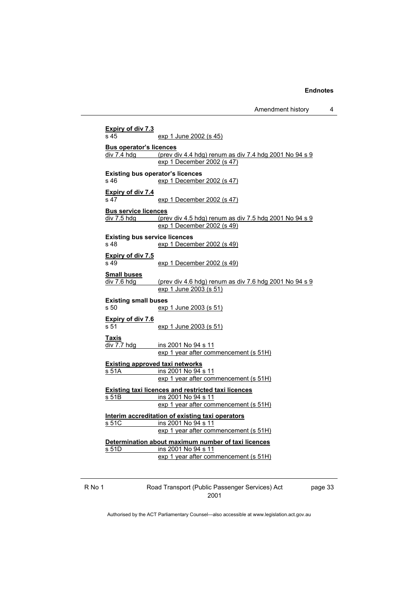Amendment history 4

**Expiry of div 7.3** s 45 exp 1 June 2002 (s 45) **Bus operator's licences**  $div 7.4$  hdg (prev div 4.4 hdg) renum as div 7.4 hdg 2001 No  $94 \text{ s } 9$  exp 1 December 2002 (s 47) **Existing bus operator's licences**  s 46 exp 1 December 2002 (s 47) **Expiry of div 7.4** s 47 exp 1 December 2002 (s 47) **Bus service licences**  $div 7.5$  hdg (prev div 4.5 hdg) renum as div 7.5 hdg 2001 No 94 s 9 exp 1 December 2002 (s 49) **Existing bus service licences**  s 48 exp 1 December 2002 (s 49) **Expiry of div 7.5** s 49 exp 1 December 2002 (s 49) **Small buses**  $div 7.6$  hdg (prev div 4.6 hdg) renum as div 7.6 hdg 2001 No 94 s 9 exp 1 June 2003 (s 51) **Existing small buses**  s 50 exp 1 June 2003 (s 51) **Expiry of div 7.6** s 51 exp 1 June 2003 (s 51) **Taxis** div 7.7 hdg ins 2001 No 94 s 11 exp 1 year after commencement (s 51H) **Existing approved taxi networks** s 51A **ins 2001 No 94 s 11** exp 1 year after commencement (s 51H) **Existing taxi licences and restricted taxi licences** s 51B ins 2001 No 94 s 11 exp 1 year after commencement (s 51H) **Interim accreditation of existing taxi operators** s 51C ins 2001 No 94 s 11 exp 1 year after commencement (s 51H) **Determination about maximum number of taxi licences**

s 51D ins 2001 No 94 s 11 exp 1 year after commencement (s 51H)

R No 1 Road Transport (Public Passenger Services) Act 2001

page 33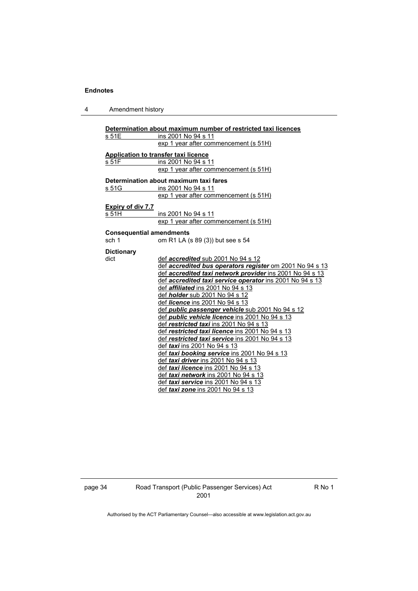# 4 Amendment history

|                                 | Determination about maximum number of restricted taxi licences |
|---------------------------------|----------------------------------------------------------------|
| s 51E                           | ins 2001 No 94 s 11                                            |
|                                 | exp 1 year after commencement (s 51H)                          |
|                                 | <b>Application to transfer taxi licence</b>                    |
| s 51F                           | ins 2001 No 94 s 11                                            |
|                                 | exp 1 year after commencement (s 51H)                          |
|                                 | Determination about maximum taxi fares                         |
| s 51G                           | ins 2001 No 94 s 11                                            |
|                                 | exp 1 year after commencement (s 51H)                          |
| Expiry of div 7.7               |                                                                |
| s 51H                           | ins 2001 No 94 s 11                                            |
|                                 | exp 1 year after commencement (s 51H)                          |
| <b>Consequential amendments</b> |                                                                |
| sch 1                           | om R1 LA (s 89 (3)) but see s 54                               |
| <b>Dictionary</b>               |                                                                |
| dict                            | def <i>accredited</i> sub 2001 No 94 s 12                      |
|                                 | def accredited bus operators register om 2001 No 94 s 13       |
|                                 | def accredited taxi network provider ins 2001 No 94 s 13       |
|                                 | def accredited taxi service operator ins 2001 No 94 s 13       |
|                                 | def <i>affiliated</i> ins 2001 No 94 s 13                      |
|                                 | def <i>holder</i> sub 2001 No 94 s 12                          |
|                                 | def licence ins 2001 No 94 s 13                                |
|                                 | def <i>public passenger vehicle</i> sub 2001 No 94 s 12        |
|                                 | def <i>public vehicle licence</i> ins 2001 No 94 s 13          |
|                                 | def restricted taxi ins 2001 No 94 s 13                        |
|                                 | def restricted taxi licence ins 2001 No 94 s 13                |
|                                 | def restricted taxi service ins 2001 No 94 s 13                |
|                                 | def taxi ins 2001 No 94 s 13                                   |
|                                 | def taxi booking service ins 2001 No 94 s 13                   |
|                                 | def taxi driver ins 2001 No 94 s 13                            |
|                                 | def taxi licence ins 2001 No 94 s 13                           |
|                                 | def taxi network ins 2001 No 94 s 13                           |
|                                 | def taxi service ins 2001 No 94 s 13                           |
|                                 | def taxi zone ins 2001 No 94 s 13                              |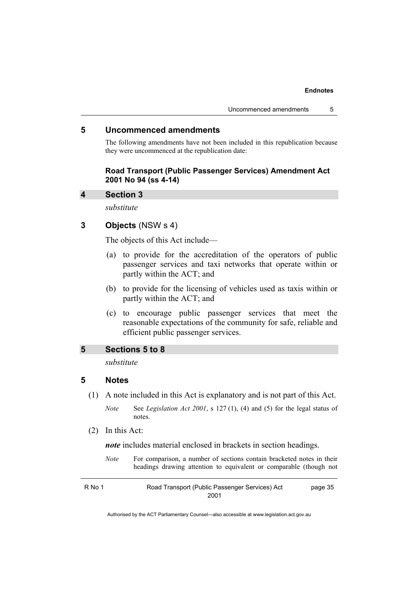### **5 Uncommenced amendments**

The following amendments have not been included in this republication because they were uncommenced at the republication date:

### **Road Transport (Public Passenger Services) Amendment Act 2001 No 94 (ss 4-14)**

#### **4 Section 3**

*substitute* 

# **3 Objects** (NSW s 4)

The objects of this Act include—

- (a) to provide for the accreditation of the operators of public passenger services and taxi networks that operate within or partly within the ACT; and
- (b) to provide for the licensing of vehicles used as taxis within or partly within the ACT; and
- (c) to encourage public passenger services that meet the reasonable expectations of the community for safe, reliable and efficient public passenger services.

### **5 Sections 5 to 8**

*substitute* 

#### **5 Notes**

(1) A note included in this Act is explanatory and is not part of this Act.

*Note* See *Legislation Act 2001*, s 127 (1), (4) and (5) for the legal status of notes.

(2) In this Act:

*note* includes material enclosed in brackets in section headings.

*Note* For comparison, a number of sections contain bracketed notes in their headings drawing attention to equivalent or comparable (though not

R No 1 Road Transport (Public Passenger Services) Act 2001 page 35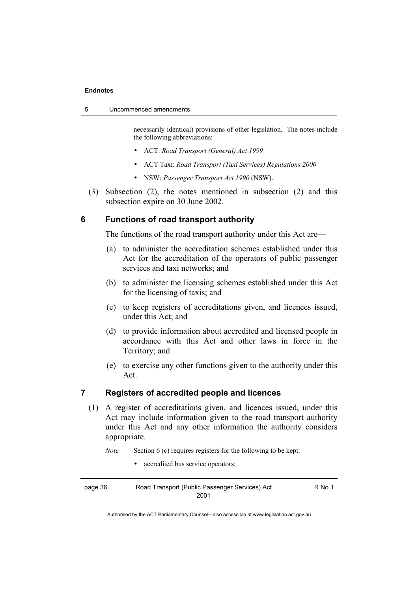necessarily identical) provisions of other legislation. The notes include the following abbreviations:

- ACT: *Road Transport (General) Act 1999*
- ACT Taxi: *Road Transport (Taxi Services) Regulations 2000*
- NSW: *Passenger Transport Act 1990* (NSW).
- (3) Subsection (2), the notes mentioned in subsection (2) and this subsection expire on 30 June 2002.

# **6 Functions of road transport authority**

The functions of the road transport authority under this Act are—

- (a) to administer the accreditation schemes established under this Act for the accreditation of the operators of public passenger services and taxi networks; and
- (b) to administer the licensing schemes established under this Act for the licensing of taxis; and
- (c) to keep registers of accreditations given, and licences issued, under this Act; and
- (d) to provide information about accredited and licensed people in accordance with this Act and other laws in force in the Territory; and
- (e) to exercise any other functions given to the authority under this Act.

# **7 Registers of accredited people and licences**

 (1) A register of accreditations given, and licences issued, under this Act may include information given to the road transport authority under this Act and any other information the authority considers appropriate.

*Note* Section 6 (c) requires registers for the following to be kept:

• accredited bus service operators;

| page 36 | Road Transport (Public Passenger Services) Act | R No 1 |
|---------|------------------------------------------------|--------|
|         | 2001                                           |        |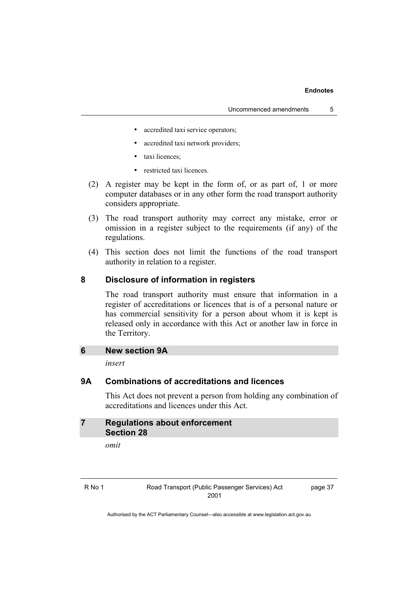- accredited taxi service operators;
- accredited taxi network providers;
- taxi licences:
- restricted taxi licences.
- (2) A register may be kept in the form of, or as part of, 1 or more computer databases or in any other form the road transport authority considers appropriate.
- (3) The road transport authority may correct any mistake, error or omission in a register subject to the requirements (if any) of the regulations.
- (4) This section does not limit the functions of the road transport authority in relation to a register.

# **8 Disclosure of information in registers**

The road transport authority must ensure that information in a register of accreditations or licences that is of a personal nature or has commercial sensitivity for a person about whom it is kept is released only in accordance with this Act or another law in force in the Territory.

# **6 New section 9A**

*insert* 

# **9A Combinations of accreditations and licences**

This Act does not prevent a person from holding any combination of accreditations and licences under this Act.

```
7 Regulations about enforcement 
   Section 28
```
*omit* 

page 37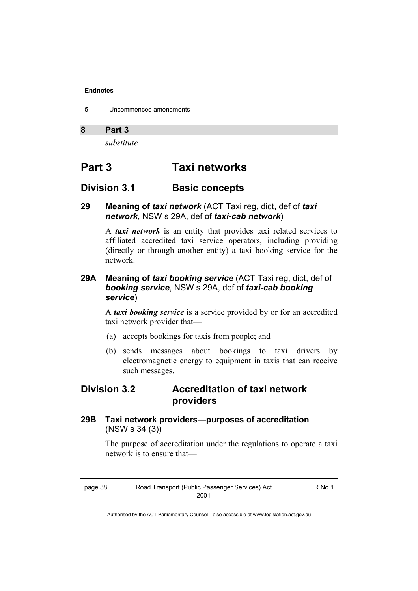- 5 Uncommenced amendments
- **8 Part 3**

*substitute* 

# **Part 3 Taxi networks**

# **Division 3.1 Basic concepts**

# **29 Meaning of** *taxi network* (ACT Taxi reg, dict, def of *taxi network*, NSW s 29A, def of *taxi-cab network*)

A *taxi network* is an entity that provides taxi related services to affiliated accredited taxi service operators, including providing (directly or through another entity) a taxi booking service for the network.

# **29A Meaning of** *taxi booking service* (ACT Taxi reg, dict, def of *booking service*, NSW s 29A, def of *taxi-cab booking service*)

A *taxi booking service* is a service provided by or for an accredited taxi network provider that—

- (a) accepts bookings for taxis from people; and
- (b) sends messages about bookings to taxi drivers by electromagnetic energy to equipment in taxis that can receive such messages.

# **Division 3.2 Accreditation of taxi network providers**

**29B Taxi network providers—purposes of accreditation**  (NSW s 34 (3))

> The purpose of accreditation under the regulations to operate a taxi network is to ensure that—

> > $No<sub>1</sub>$

| page 38 | Road Transport (Public Passenger Services) Act |  |
|---------|------------------------------------------------|--|
|         | 2001                                           |  |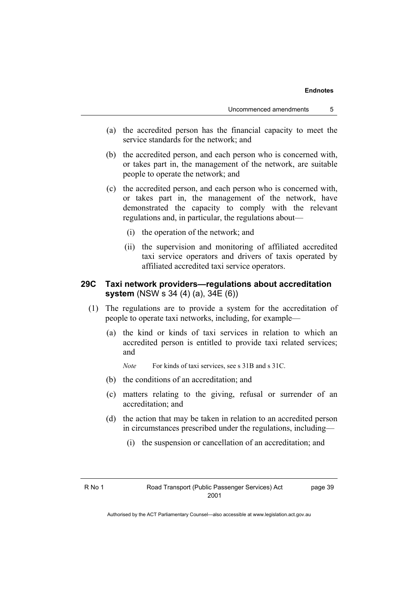- (a) the accredited person has the financial capacity to meet the service standards for the network; and
- (b) the accredited person, and each person who is concerned with, or takes part in, the management of the network, are suitable people to operate the network; and
- (c) the accredited person, and each person who is concerned with, or takes part in, the management of the network, have demonstrated the capacity to comply with the relevant regulations and, in particular, the regulations about—
	- (i) the operation of the network; and
	- (ii) the supervision and monitoring of affiliated accredited taxi service operators and drivers of taxis operated by affiliated accredited taxi service operators.

# **29C Taxi network providers—regulations about accreditation system** (NSW s 34 (4) (a), 34E (6))

- (1) The regulations are to provide a system for the accreditation of people to operate taxi networks, including, for example—
	- (a) the kind or kinds of taxi services in relation to which an accredited person is entitled to provide taxi related services; and

*Note* For kinds of taxi services, see s 31B and s 31C.

- (b) the conditions of an accreditation; and
- (c) matters relating to the giving, refusal or surrender of an accreditation; and
- (d) the action that may be taken in relation to an accredited person in circumstances prescribed under the regulations, including—
	- (i) the suspension or cancellation of an accreditation; and

page 39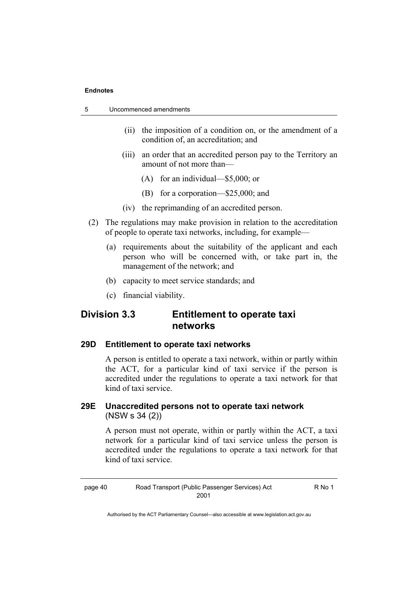| 5 | Uncommenced amendments |  |
|---|------------------------|--|
|   |                        |  |

- (ii) the imposition of a condition on, or the amendment of a condition of, an accreditation; and
- (iii) an order that an accredited person pay to the Territory an amount of not more than—
	- (A) for an individual—\$5,000; or
	- (B) for a corporation—\$25,000; and
- (iv) the reprimanding of an accredited person.
- (2) The regulations may make provision in relation to the accreditation of people to operate taxi networks, including, for example—
	- (a) requirements about the suitability of the applicant and each person who will be concerned with, or take part in, the management of the network; and
	- (b) capacity to meet service standards; and
	- (c) financial viability.

# **Division 3.3 Entitlement to operate taxi networks**

# **29D Entitlement to operate taxi networks**

A person is entitled to operate a taxi network, within or partly within the ACT, for a particular kind of taxi service if the person is accredited under the regulations to operate a taxi network for that kind of taxi service.

# **29E Unaccredited persons not to operate taxi network**  (NSW s 34 (2))

A person must not operate, within or partly within the ACT, a taxi network for a particular kind of taxi service unless the person is accredited under the regulations to operate a taxi network for that kind of taxi service.

page 40 Road Transport (Public Passenger Services) Act 2001

R No 1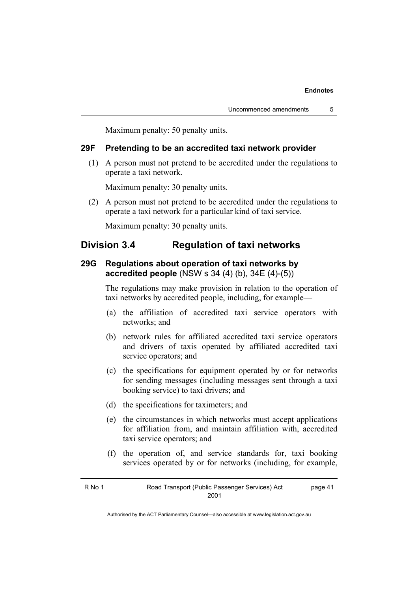Maximum penalty: 50 penalty units.

# **29F Pretending to be an accredited taxi network provider**

 (1) A person must not pretend to be accredited under the regulations to operate a taxi network.

Maximum penalty: 30 penalty units.

 (2) A person must not pretend to be accredited under the regulations to operate a taxi network for a particular kind of taxi service.

Maximum penalty: 30 penalty units.

# **Division 3.4 Regulation of taxi networks**

# **29G Regulations about operation of taxi networks by accredited people** (NSW s 34 (4) (b), 34E (4)-(5))

The regulations may make provision in relation to the operation of taxi networks by accredited people, including, for example—

- (a) the affiliation of accredited taxi service operators with networks; and
- (b) network rules for affiliated accredited taxi service operators and drivers of taxis operated by affiliated accredited taxi service operators; and
- (c) the specifications for equipment operated by or for networks for sending messages (including messages sent through a taxi booking service) to taxi drivers; and
- (d) the specifications for taximeters; and
- (e) the circumstances in which networks must accept applications for affiliation from, and maintain affiliation with, accredited taxi service operators; and
- (f) the operation of, and service standards for, taxi booking services operated by or for networks (including, for example,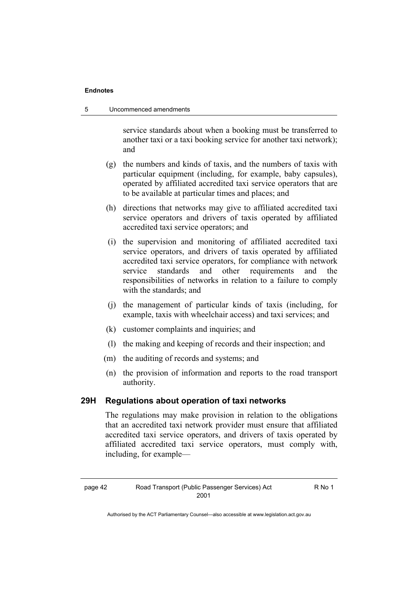service standards about when a booking must be transferred to another taxi or a taxi booking service for another taxi network); and

- (g) the numbers and kinds of taxis, and the numbers of taxis with particular equipment (including, for example, baby capsules), operated by affiliated accredited taxi service operators that are to be available at particular times and places; and
- (h) directions that networks may give to affiliated accredited taxi service operators and drivers of taxis operated by affiliated accredited taxi service operators; and
- (i) the supervision and monitoring of affiliated accredited taxi service operators, and drivers of taxis operated by affiliated accredited taxi service operators, for compliance with network service standards and other requirements and the responsibilities of networks in relation to a failure to comply with the standards; and
- (j) the management of particular kinds of taxis (including, for example, taxis with wheelchair access) and taxi services; and
- (k) customer complaints and inquiries; and
- (l) the making and keeping of records and their inspection; and
- (m) the auditing of records and systems; and
- (n) the provision of information and reports to the road transport authority.

# **29H Regulations about operation of taxi networks**

The regulations may make provision in relation to the obligations that an accredited taxi network provider must ensure that affiliated accredited taxi service operators, and drivers of taxis operated by affiliated accredited taxi service operators, must comply with, including, for example—

R No 1

Authorised by the ACT Parliamentary Counsel—also accessible at www.legislation.act.gov.au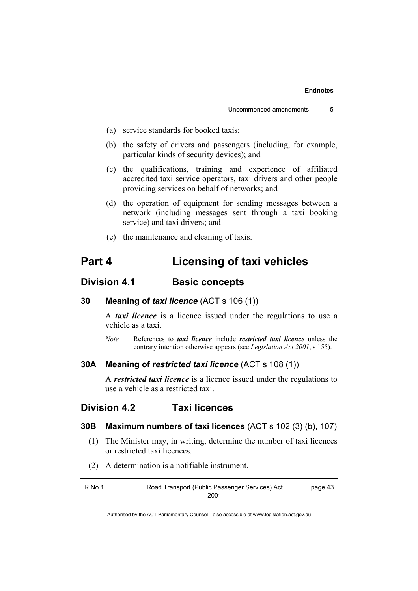- (a) service standards for booked taxis;
- (b) the safety of drivers and passengers (including, for example, particular kinds of security devices); and
- (c) the qualifications, training and experience of affiliated accredited taxi service operators, taxi drivers and other people providing services on behalf of networks; and
- (d) the operation of equipment for sending messages between a network (including messages sent through a taxi booking service) and taxi drivers; and
- (e) the maintenance and cleaning of taxis.

# **Part 4 Licensing of taxi vehicles**

# **Division 4.1 Basic concepts**

**30 Meaning of** *taxi licence* (ACT s 106 (1))

A *taxi licence* is a licence issued under the regulations to use a vehicle as a taxi.

*Note* References to *taxi licence* include *restricted taxi licence* unless the contrary intention otherwise appears (see *Legislation Act 2001*, s 155).

# **30A Meaning of** *restricted taxi licence* (ACT s 108 (1))

A *restricted taxi licence* is a licence issued under the regulations to use a vehicle as a restricted taxi.

# **Division 4.2 Taxi licences**

# **30B Maximum numbers of taxi licences** (ACT s 102 (3) (b), 107)

- (1) The Minister may, in writing, determine the number of taxi licences or restricted taxi licences.
- (2) A determination is a notifiable instrument.

| R No 1 | Road Transport (Public Passenger Services) Act | page 43 |
|--------|------------------------------------------------|---------|
|        | 2001                                           |         |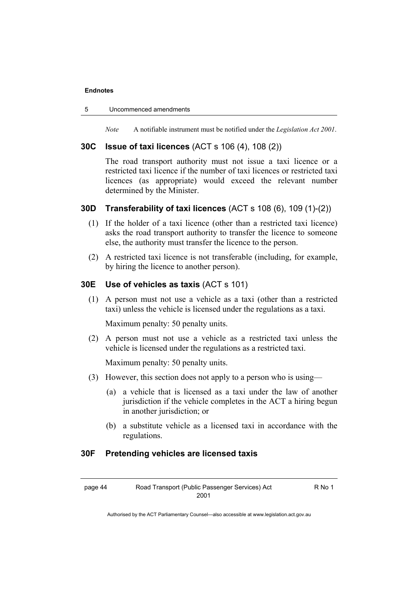#### 5 Uncommenced amendments

*Note* A notifiable instrument must be notified under the *Legislation Act 2001*.

# **30C Issue of taxi licences** (ACT s 106 (4), 108 (2))

The road transport authority must not issue a taxi licence or a restricted taxi licence if the number of taxi licences or restricted taxi licences (as appropriate) would exceed the relevant number determined by the Minister.

# **30D Transferability of taxi licences** (ACT s 108 (6), 109 (1)-(2))

- (1) If the holder of a taxi licence (other than a restricted taxi licence) asks the road transport authority to transfer the licence to someone else, the authority must transfer the licence to the person.
- (2) A restricted taxi licence is not transferable (including, for example, by hiring the licence to another person).

# **30E Use of vehicles as taxis** (ACT s 101)

 (1) A person must not use a vehicle as a taxi (other than a restricted taxi) unless the vehicle is licensed under the regulations as a taxi.

Maximum penalty: 50 penalty units.

 (2) A person must not use a vehicle as a restricted taxi unless the vehicle is licensed under the regulations as a restricted taxi.

Maximum penalty: 50 penalty units.

- (3) However, this section does not apply to a person who is using—
	- (a) a vehicle that is licensed as a taxi under the law of another jurisdiction if the vehicle completes in the ACT a hiring begun in another jurisdiction; or
	- (b) a substitute vehicle as a licensed taxi in accordance with the regulations.

### **30F Pretending vehicles are licensed taxis**

R No 1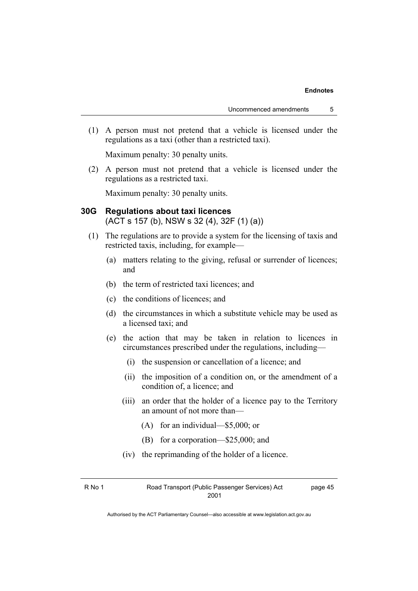(1) A person must not pretend that a vehicle is licensed under the regulations as a taxi (other than a restricted taxi).

Maximum penalty: 30 penalty units.

 (2) A person must not pretend that a vehicle is licensed under the regulations as a restricted taxi.

Maximum penalty: 30 penalty units.

# **30G Regulations about taxi licences**  (ACT s 157 (b), NSW s 32 (4), 32F (1) (a))

- (1) The regulations are to provide a system for the licensing of taxis and restricted taxis, including, for example—
	- (a) matters relating to the giving, refusal or surrender of licences; and
	- (b) the term of restricted taxi licences; and
	- (c) the conditions of licences; and
	- (d) the circumstances in which a substitute vehicle may be used as a licensed taxi; and
	- (e) the action that may be taken in relation to licences in circumstances prescribed under the regulations, including—
		- (i) the suspension or cancellation of a licence; and
		- (ii) the imposition of a condition on, or the amendment of a condition of, a licence; and
		- (iii) an order that the holder of a licence pay to the Territory an amount of not more than—
			- (A) for an individual—\$5,000; or
			- (B) for a corporation—\$25,000; and
		- (iv) the reprimanding of the holder of a licence.

| R No 1 | Road Transport (Public Passenger Services) Act |
|--------|------------------------------------------------|
|        | 2001                                           |

page 45

Authorised by the ACT Parliamentary Counsel—also accessible at www.legislation.act.gov.au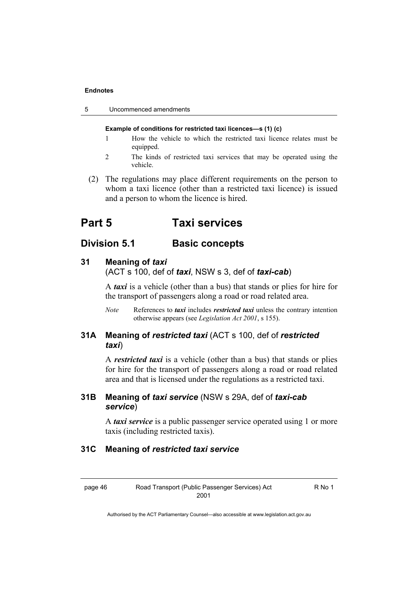| Uncommenced amendments<br>-5 |  |
|------------------------------|--|
|------------------------------|--|

#### **Example of conditions for restricted taxi licences—s (1) (c)**

- 1 How the vehicle to which the restricted taxi licence relates must be equipped.
- 2 The kinds of restricted taxi services that may be operated using the vehicle.
- (2) The regulations may place different requirements on the person to whom a taxi licence (other than a restricted taxi licence) is issued and a person to whom the licence is hired.

# **Part 5 Taxi services**

# **Division 5.1** Basic concepts

#### **31 Meaning of** *taxi*

(ACT s 100, def of *taxi*, NSW s 3, def of *taxi-cab*)

A *taxi* is a vehicle (other than a bus) that stands or plies for hire for the transport of passengers along a road or road related area.

*Note* References to *taxi* includes *restricted taxi* unless the contrary intention otherwise appears (see *Legislation Act 2001*, s 155).

# **31A Meaning of** *restricted taxi* (ACT s 100, def of *restricted taxi*)

A *restricted taxi* is a vehicle (other than a bus) that stands or plies for hire for the transport of passengers along a road or road related area and that is licensed under the regulations as a restricted taxi.

# **31B Meaning of** *taxi service* (NSW s 29A, def of *taxi-cab service*)

A *taxi service* is a public passenger service operated using 1 or more taxis (including restricted taxis).

# **31C Meaning of** *restricted taxi service*

R No 1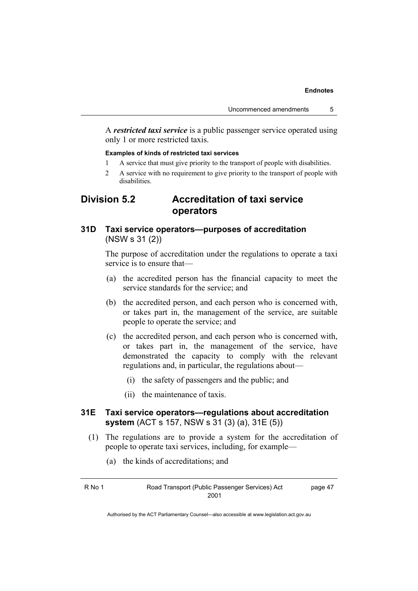A *restricted taxi service* is a public passenger service operated using only 1 or more restricted taxis.

#### **Examples of kinds of restricted taxi services**

- 1 A service that must give priority to the transport of people with disabilities.
- 2 A service with no requirement to give priority to the transport of people with disabilities.

# **Division 5.2 Accreditation of taxi service operators**

# **31D Taxi service operators—purposes of accreditation**  (NSW s 31 (2))

The purpose of accreditation under the regulations to operate a taxi service is to ensure that—

- (a) the accredited person has the financial capacity to meet the service standards for the service; and
- (b) the accredited person, and each person who is concerned with, or takes part in, the management of the service, are suitable people to operate the service; and
- (c) the accredited person, and each person who is concerned with, or takes part in, the management of the service, have demonstrated the capacity to comply with the relevant regulations and, in particular, the regulations about—
	- (i) the safety of passengers and the public; and
	- (ii) the maintenance of taxis.

# **31E Taxi service operators—regulations about accreditation system** (ACT s 157, NSW s 31 (3) (a), 31E (5))

- (1) The regulations are to provide a system for the accreditation of people to operate taxi services, including, for example—
	- (a) the kinds of accreditations; and

R No 1 Road Transport (Public Passenger Services) Act 2001

page 47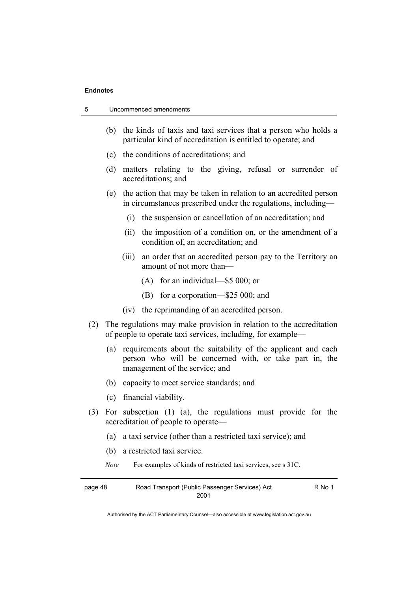| 5 | Uncommenced amendments |
|---|------------------------|
|---|------------------------|

- (b) the kinds of taxis and taxi services that a person who holds a particular kind of accreditation is entitled to operate; and
- (c) the conditions of accreditations; and
- (d) matters relating to the giving, refusal or surrender of accreditations; and
- (e) the action that may be taken in relation to an accredited person in circumstances prescribed under the regulations, including—
	- (i) the suspension or cancellation of an accreditation; and
	- (ii) the imposition of a condition on, or the amendment of a condition of, an accreditation; and
	- (iii) an order that an accredited person pay to the Territory an amount of not more than—
		- (A) for an individual—\$5 000; or
		- (B) for a corporation—\$25 000; and
	- (iv) the reprimanding of an accredited person.
- (2) The regulations may make provision in relation to the accreditation of people to operate taxi services, including, for example—
	- (a) requirements about the suitability of the applicant and each person who will be concerned with, or take part in, the management of the service; and
	- (b) capacity to meet service standards; and
	- (c) financial viability.
- (3) For subsection (1) (a), the regulations must provide for the accreditation of people to operate—
	- (a) a taxi service (other than a restricted taxi service); and
	- (b) a restricted taxi service.
	- *Note* For examples of kinds of restricted taxi services, see s 31C.

| page 48 | Road Transport (Public Passenger Services) Act | R No 1 |
|---------|------------------------------------------------|--------|
|         | 2001                                           |        |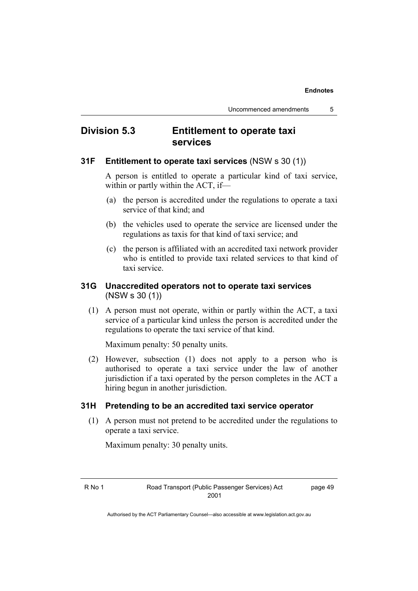# **Division 5.3 Entitlement to operate taxi services**

# **31F Entitlement to operate taxi services** (NSW s 30 (1))

A person is entitled to operate a particular kind of taxi service, within or partly within the ACT, if—

- (a) the person is accredited under the regulations to operate a taxi service of that kind; and
- (b) the vehicles used to operate the service are licensed under the regulations as taxis for that kind of taxi service; and
- (c) the person is affiliated with an accredited taxi network provider who is entitled to provide taxi related services to that kind of taxi service.

# **31G Unaccredited operators not to operate taxi services**  (NSW s 30 (1))

 (1) A person must not operate, within or partly within the ACT, a taxi service of a particular kind unless the person is accredited under the regulations to operate the taxi service of that kind.

Maximum penalty: 50 penalty units.

 (2) However, subsection (1) does not apply to a person who is authorised to operate a taxi service under the law of another jurisdiction if a taxi operated by the person completes in the ACT a hiring begun in another jurisdiction.

# **31H Pretending to be an accredited taxi service operator**

 (1) A person must not pretend to be accredited under the regulations to operate a taxi service.

Maximum penalty: 30 penalty units.

page 49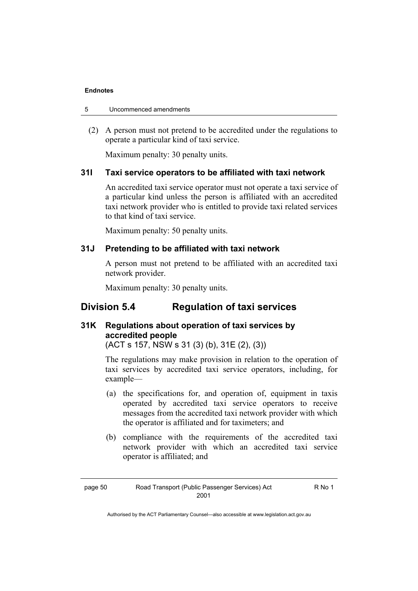| Uncommenced amendments<br>5 |  |
|-----------------------------|--|
|-----------------------------|--|

 (2) A person must not pretend to be accredited under the regulations to operate a particular kind of taxi service.

Maximum penalty: 30 penalty units.

# **31I Taxi service operators to be affiliated with taxi network**

An accredited taxi service operator must not operate a taxi service of a particular kind unless the person is affiliated with an accredited taxi network provider who is entitled to provide taxi related services to that kind of taxi service.

Maximum penalty: 50 penalty units.

# **31J Pretending to be affiliated with taxi network**

A person must not pretend to be affiliated with an accredited taxi network provider.

Maximum penalty: 30 penalty units.

# **Division 5.4 Regulation of taxi services**

# **31K Regulations about operation of taxi services by accredited people**

(ACT s 157, NSW s 31 (3) (b), 31E (2), (3))

The regulations may make provision in relation to the operation of taxi services by accredited taxi service operators, including, for example—

- (a) the specifications for, and operation of, equipment in taxis operated by accredited taxi service operators to receive messages from the accredited taxi network provider with which the operator is affiliated and for taximeters; and
- (b) compliance with the requirements of the accredited taxi network provider with which an accredited taxi service operator is affiliated; and

R No 1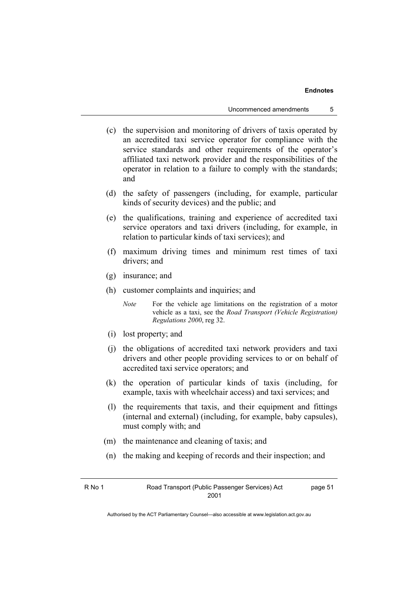- (c) the supervision and monitoring of drivers of taxis operated by an accredited taxi service operator for compliance with the service standards and other requirements of the operator's affiliated taxi network provider and the responsibilities of the operator in relation to a failure to comply with the standards; and
- (d) the safety of passengers (including, for example, particular kinds of security devices) and the public; and
- (e) the qualifications, training and experience of accredited taxi service operators and taxi drivers (including, for example, in relation to particular kinds of taxi services); and
- (f) maximum driving times and minimum rest times of taxi drivers; and
- (g) insurance; and
- (h) customer complaints and inquiries; and

*Note* For the vehicle age limitations on the registration of a motor vehicle as a taxi, see the *Road Transport (Vehicle Registration) Regulations 2000*, reg 32.

- (i) lost property; and
- (j) the obligations of accredited taxi network providers and taxi drivers and other people providing services to or on behalf of accredited taxi service operators; and
- (k) the operation of particular kinds of taxis (including, for example, taxis with wheelchair access) and taxi services; and
- (l) the requirements that taxis, and their equipment and fittings (internal and external) (including, for example, baby capsules), must comply with; and
- (m) the maintenance and cleaning of taxis; and
- (n) the making and keeping of records and their inspection; and

page 51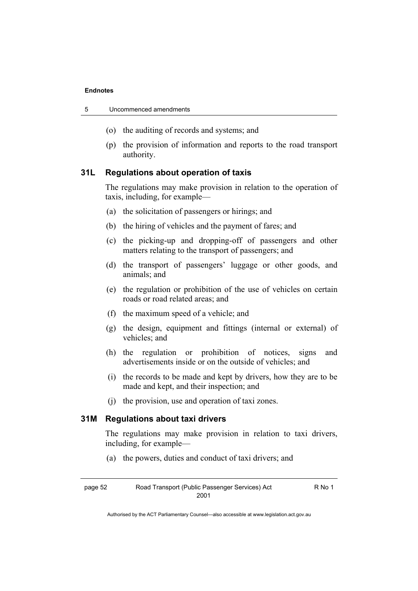| 5 | Uncommenced amendments |  |
|---|------------------------|--|
|   |                        |  |

- (o) the auditing of records and systems; and
- (p) the provision of information and reports to the road transport authority.

# **31L Regulations about operation of taxis**

The regulations may make provision in relation to the operation of taxis, including, for example—

- (a) the solicitation of passengers or hirings; and
- (b) the hiring of vehicles and the payment of fares; and
- (c) the picking-up and dropping-off of passengers and other matters relating to the transport of passengers; and
- (d) the transport of passengers' luggage or other goods, and animals; and
- (e) the regulation or prohibition of the use of vehicles on certain roads or road related areas; and
- (f) the maximum speed of a vehicle; and
- (g) the design, equipment and fittings (internal or external) of vehicles; and
- (h) the regulation or prohibition of notices, signs and advertisements inside or on the outside of vehicles; and
- (i) the records to be made and kept by drivers, how they are to be made and kept, and their inspection; and
- (j) the provision, use and operation of taxi zones.

# **31M Regulations about taxi drivers**

The regulations may make provision in relation to taxi drivers, including, for example—

(a) the powers, duties and conduct of taxi drivers; and

page 52 Road Transport (Public Passenger Services) Act 2001

R No 1

Authorised by the ACT Parliamentary Counsel—also accessible at www.legislation.act.gov.au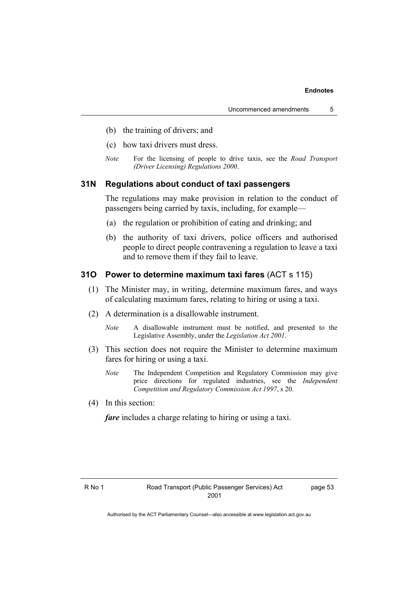- (b) the training of drivers; and
- (c) how taxi drivers must dress.
- *Note* For the licensing of people to drive taxis, see the *Road Transport (Driver Licensing) Regulations 2000*.

# **31N Regulations about conduct of taxi passengers**

The regulations may make provision in relation to the conduct of passengers being carried by taxis, including, for example—

- (a) the regulation or prohibition of eating and drinking; and
- (b) the authority of taxi drivers, police officers and authorised people to direct people contravening a regulation to leave a taxi and to remove them if they fail to leave.

### **31O Power to determine maximum taxi fares** (ACT s 115)

- (1) The Minister may, in writing, determine maximum fares, and ways of calculating maximum fares, relating to hiring or using a taxi.
- (2) A determination is a disallowable instrument.
	- *Note* A disallowable instrument must be notified, and presented to the Legislative Assembly, under the *Legislation Act 2001*.
- (3) This section does not require the Minister to determine maximum fares for hiring or using a taxi.
	- *Note* The Independent Competition and Regulatory Commission may give price directions for regulated industries, see the *Independent Competition and Regulatory Commission Act 1997*, s 20.
- (4) In this section:

*fare* includes a charge relating to hiring or using a taxi.

page 53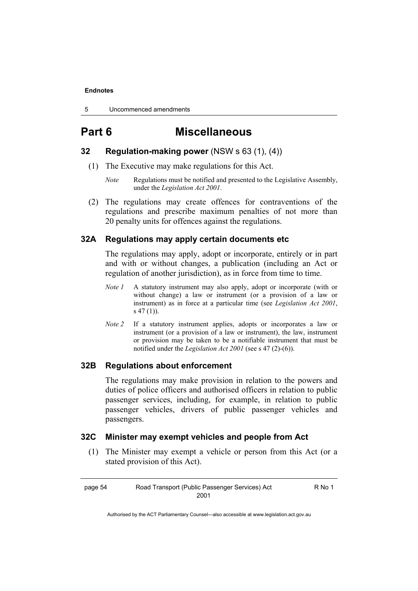5 Uncommenced amendments

# **Part 6 Miscellaneous**

# **32 Regulation-making power** (NSW s 63 (1), (4))

- (1) The Executive may make regulations for this Act.
	- *Note* Regulations must be notified and presented to the Legislative Assembly, under the *Legislation Act 2001*.
- (2) The regulations may create offences for contraventions of the regulations and prescribe maximum penalties of not more than 20 penalty units for offences against the regulations.

# **32A Regulations may apply certain documents etc**

The regulations may apply, adopt or incorporate, entirely or in part and with or without changes, a publication (including an Act or regulation of another jurisdiction), as in force from time to time.

- *Note 1* A statutory instrument may also apply, adopt or incorporate (with or without change) a law or instrument (or a provision of a law or instrument) as in force at a particular time (see *Legislation Act 2001*, s 47 (1)).
- *Note 2* If a statutory instrument applies, adopts or incorporates a law or instrument (or a provision of a law or instrument), the law, instrument or provision may be taken to be a notifiable instrument that must be notified under the *Legislation Act 2001* (see s 47 (2)-(6)).

# **32B Regulations about enforcement**

The regulations may make provision in relation to the powers and duties of police officers and authorised officers in relation to public passenger services, including, for example, in relation to public passenger vehicles, drivers of public passenger vehicles and passengers.

# **32C Minister may exempt vehicles and people from Act**

 (1) The Minister may exempt a vehicle or person from this Act (or a stated provision of this Act).

page 54 Road Transport (Public Passenger Services) Act 2001

R No 1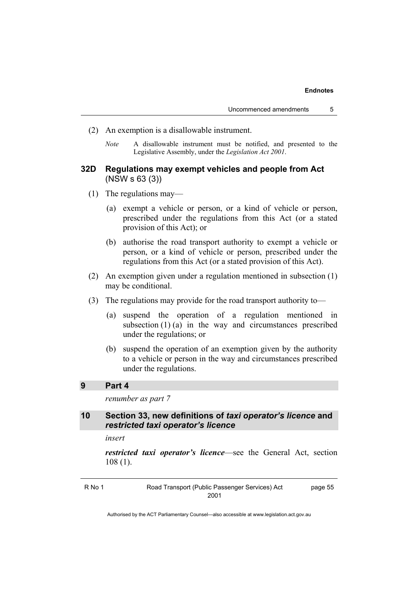- (2) An exemption is a disallowable instrument.
	- *Note* A disallowable instrument must be notified, and presented to the Legislative Assembly, under the *Legislation Act 2001*.

### **32D Regulations may exempt vehicles and people from Act**  (NSW s 63 (3))

- (1) The regulations may—
	- (a) exempt a vehicle or person, or a kind of vehicle or person, prescribed under the regulations from this Act (or a stated provision of this Act); or
	- (b) authorise the road transport authority to exempt a vehicle or person, or a kind of vehicle or person, prescribed under the regulations from this Act (or a stated provision of this Act).
- (2) An exemption given under a regulation mentioned in subsection (1) may be conditional.
- (3) The regulations may provide for the road transport authority to—
	- (a) suspend the operation of a regulation mentioned in subsection  $(1)$  (a) in the way and circumstances prescribed under the regulations; or
	- (b) suspend the operation of an exemption given by the authority to a vehicle or person in the way and circumstances prescribed under the regulations.

# **9 Part 4**

*renumber as part 7* 

**10 Section 33, new definitions of** *taxi operator's licence* **and**  *restricted taxi operator's licence*

*insert* 

*restricted taxi operator's licence*—see the General Act, section 108 (1).

| R No 1 | Road Transport (Public Passenger Services) Act | page 55 |
|--------|------------------------------------------------|---------|
|        | 2001                                           |         |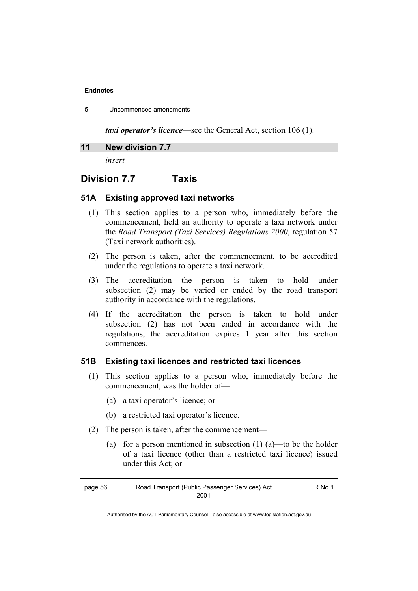| 5 | Uncommenced amendments |  |
|---|------------------------|--|
|---|------------------------|--|

*taxi operator's licence*—see the General Act, section 106 (1).

### **11 New division 7.7**

*insert* 

# **Division 7.7 Taxis**

# **51A Existing approved taxi networks**

- (1) This section applies to a person who, immediately before the commencement, held an authority to operate a taxi network under the *Road Transport (Taxi Services) Regulations 2000*, regulation 57 (Taxi network authorities).
- (2) The person is taken, after the commencement, to be accredited under the regulations to operate a taxi network.
- (3) The accreditation the person is taken to hold under subsection (2) may be varied or ended by the road transport authority in accordance with the regulations.
- (4) If the accreditation the person is taken to hold under subsection (2) has not been ended in accordance with the regulations, the accreditation expires 1 year after this section commences.

# **51B Existing taxi licences and restricted taxi licences**

- (1) This section applies to a person who, immediately before the commencement, was the holder of—
	- (a) a taxi operator's licence; or
	- (b) a restricted taxi operator's licence.
- (2) The person is taken, after the commencement—
	- (a) for a person mentioned in subsection  $(1)$  (a)—to be the holder of a taxi licence (other than a restricted taxi licence) issued under this Act; or

R No 1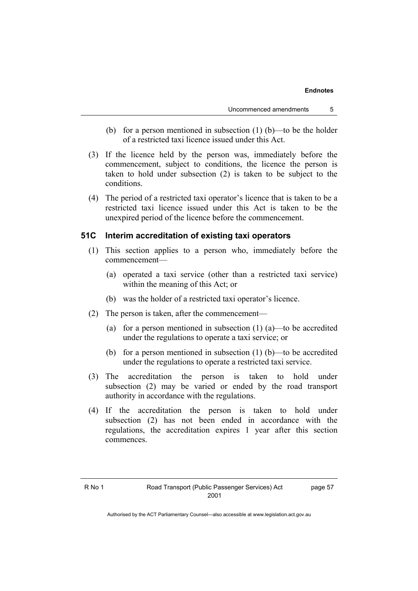- (b) for a person mentioned in subsection  $(1)$  (b)—to be the holder of a restricted taxi licence issued under this Act.
- (3) If the licence held by the person was, immediately before the commencement, subject to conditions, the licence the person is taken to hold under subsection (2) is taken to be subject to the conditions.
- (4) The period of a restricted taxi operator's licence that is taken to be a restricted taxi licence issued under this Act is taken to be the unexpired period of the licence before the commencement.

# **51C Interim accreditation of existing taxi operators**

- (1) This section applies to a person who, immediately before the commencement—
	- (a) operated a taxi service (other than a restricted taxi service) within the meaning of this Act; or
	- (b) was the holder of a restricted taxi operator's licence.
- (2) The person is taken, after the commencement—
	- (a) for a person mentioned in subsection  $(1)$   $(a)$ —to be accredited under the regulations to operate a taxi service; or
	- (b) for a person mentioned in subsection (1) (b)—to be accredited under the regulations to operate a restricted taxi service.
- (3) The accreditation the person is taken to hold under subsection (2) may be varied or ended by the road transport authority in accordance with the regulations.
- (4) If the accreditation the person is taken to hold under subsection (2) has not been ended in accordance with the regulations, the accreditation expires 1 year after this section commences.

page 57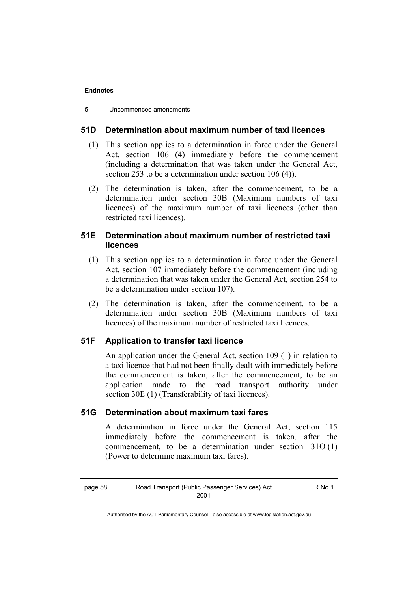# **51D Determination about maximum number of taxi licences**

- (1) This section applies to a determination in force under the General Act, section 106 (4) immediately before the commencement (including a determination that was taken under the General Act, section 253 to be a determination under section 106 (4)).
- (2) The determination is taken, after the commencement, to be a determination under section 30B (Maximum numbers of taxi licences) of the maximum number of taxi licences (other than restricted taxi licences).

# **51E Determination about maximum number of restricted taxi licences**

- (1) This section applies to a determination in force under the General Act, section 107 immediately before the commencement (including a determination that was taken under the General Act, section 254 to be a determination under section 107).
- (2) The determination is taken, after the commencement, to be a determination under section 30B (Maximum numbers of taxi licences) of the maximum number of restricted taxi licences.

# **51F Application to transfer taxi licence**

An application under the General Act, section 109 (1) in relation to a taxi licence that had not been finally dealt with immediately before the commencement is taken, after the commencement, to be an application made to the road transport authority under section 30E (1) (Transferability of taxi licences).

# **51G Determination about maximum taxi fares**

A determination in force under the General Act, section 115 immediately before the commencement is taken, after the commencement, to be a determination under section 31O (1) (Power to determine maximum taxi fares).

R No 1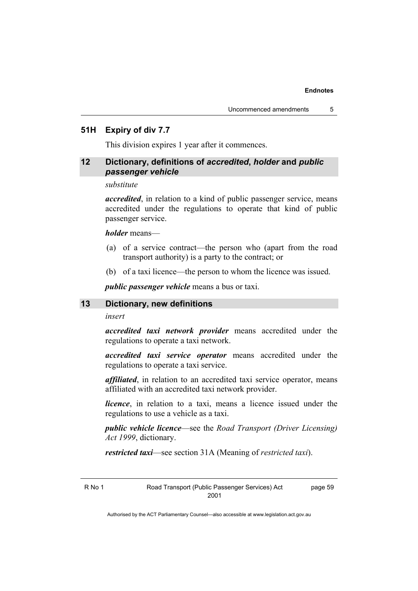### **51H Expiry of div 7.7**

This division expires 1 year after it commences.

# **12 Dictionary, definitions of** *accredited***,** *holder* **and** *public passenger vehicle*

#### *substitute*

*accredited*, in relation to a kind of public passenger service, means accredited under the regulations to operate that kind of public passenger service.

### *holder* means—

- (a) of a service contract—the person who (apart from the road transport authority) is a party to the contract; or
- (b) of a taxi licence—the person to whom the licence was issued.

*public passenger vehicle* means a bus or taxi.

### **13 Dictionary, new definitions**

#### *insert*

*accredited taxi network provider* means accredited under the regulations to operate a taxi network.

*accredited taxi service operator* means accredited under the regulations to operate a taxi service.

*affiliated*, in relation to an accredited taxi service operator, means affiliated with an accredited taxi network provider.

*licence*, in relation to a taxi, means a licence issued under the regulations to use a vehicle as a taxi.

*public vehicle licence*—see the *Road Transport (Driver Licensing) Act 1999*, dictionary.

*restricted taxi*—see section 31A (Meaning of *restricted taxi*).

R No 1 Road Transport (Public Passenger Services) Act 2001

page 59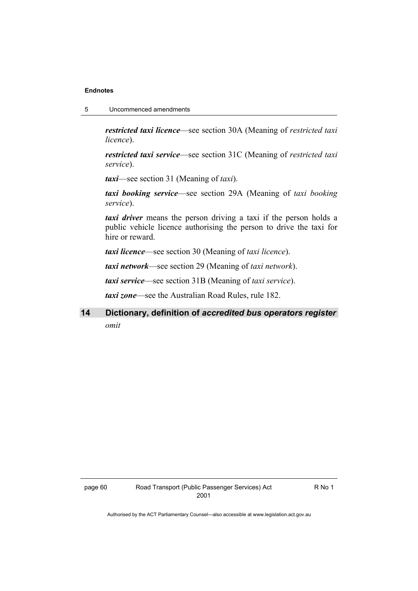5 Uncommenced amendments

*restricted taxi licence*—see section 30A (Meaning of *restricted taxi licence*).

*restricted taxi service*—see section 31C (Meaning of *restricted taxi service*).

*taxi*—see section 31 (Meaning of *taxi*).

*taxi booking service*—see section 29A (Meaning of *taxi booking service*).

*taxi driver* means the person driving a taxi if the person holds a public vehicle licence authorising the person to drive the taxi for hire or reward.

*taxi licence*—see section 30 (Meaning of *taxi licence*).

*taxi network*—see section 29 (Meaning of *taxi network*).

*taxi service*—see section 31B (Meaning of *taxi service*).

*taxi zone*—see the Australian Road Rules, rule 182.

**14 Dictionary, definition of** *accredited bus operators register omit*